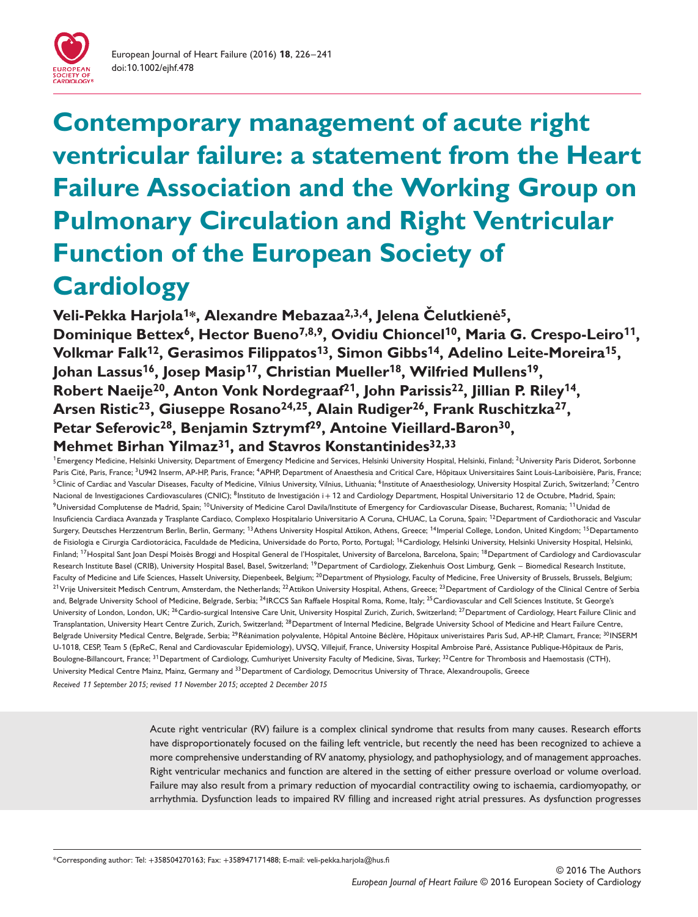

# **Contemporary management of acute right ventricular failure: a statement from the Heart Failure Association and the Working Group on Pulmonary Circulation and Right Ventricular Function of the European Society of Cardiology**

**Veli-Pekka Harjola<sup>1\*</sup>, Alexandre Mebazaa<sup>2,3,4</sup>, Jelena Čelutkienė<sup>5</sup>,** Dominique Bettex<sup>6</sup>, Hector Bueno<sup>7,8,9</sup>, Ovidiu Chioncel<sup>10</sup>, Maria G. Crespo-Leiro<sup>11</sup>, **Volkmar Falk<sup>1</sup>2, Gerasimos Filippatos<sup>1</sup>3, Simon Gibbs<sup>1</sup>4, Adelino Leite-Moreira<sup>1</sup>5, Johan Lassus<sup>1</sup>6, Josep Masip<sup>1</sup>7, Christian Mueller<sup>1</sup>8, Wilfried Mullens<sup>1</sup>9, Robert Naeije20, Anton Vonk Nordegraaf2<sup>1</sup>, John Parissis22, Jillian P. Riley<sup>1</sup>4, Arsen Ristic23, Giuseppe Rosano24,25, Alain Rudiger26, Frank Ruschitzka27, Petar Seferovic28, Benjamin Sztrymf29, Antoine Vieillard-Baron30, Mehmet Birhan Yilmaz3<sup>1</sup>, and Stavros Konstantinides32,33**

<sup>1</sup>Emergency Medicine, Helsinki University, Department of Emergency Medicine and Services, Helsinki University Hospital, Helsinki, Finland; <sup>2</sup>University Paris Diderot, Sorbonne Paris Cité, Paris, France; <sup>3</sup>U942 Inserm, AP-HP, Paris, France; <sup>4</sup>APHP, Department of Anaesthesia and Critical Care, Hôpitaux Universitaires Saint Louis-Lariboisière, Paris, France; <sup>5</sup>Clinic of Cardiac and Vascular Diseases, Faculty of Medicine, Vilnius University, Vilnius, Lithuania; <sup>6</sup>Institute of Anaesthesiology, University Hospital Zurich, Switzerland; <sup>7</sup>Centro Nacional de Investigaciones Cardiovasculares (CNIC); <sup>8</sup>Instituto de Investigación i + 12 and Cardiology Department, Hospital Universitario 12 de Octubre, Madrid, Spain; 9Universidad Complutense de Madrid, Spain; <sup>10</sup>University of Medicine Carol Davila/Institute of Emergency for Cardiovascular Disease, Bucharest, Romania; <sup>11</sup>Unidad de Insuficiencia Cardiaca Avanzada y Trasplante Cardiaco, Complexo Hospitalario Universitario A Coruna, CHUAC, La Coruna, Spain; <sup>12</sup>Department of Cardiothoracic and Vascular Surgery, Deutsches Herzzentrum Berlin, Berlin, Germany; <sup>13</sup>Athens University Hospital Attikon, Athens, Greece; <sup>14</sup>Imperial College, London, United Kingdom; <sup>15</sup> Departamento de Fisiologia e Cirurgia Cardiotorácica, Faculdade de Medicina, Universidade do Porto, Porto, Portugal; <sup>16</sup>Cardiology, Helsinki University, Helsinki University Hospital, Helsinki, Finland; <sup>17</sup>Hospital Sant Joan Despí Moisès Broggi and Hospital General de l'Hospitalet, University of Barcelona, Barcelona, Spain; <sup>18</sup>Department of Cardiology and Cardiovascular Research Institute Basel (CRIB), University Hospital Basel, Basel, Switzerland; <sup>19</sup>Department of Cardiology, Ziekenhuis Oost Limburg, Genk – Biomedical Research Institute, Faculty of Medicine and Life Sciences, Hasselt University, Diepenbeek, Belgium; <sup>20</sup>Department of Physiology, Faculty of Medicine, Free University of Brussels, Brussels, Belgium; <sup>21</sup>Vrije Universiteit Medisch Centrum, Amsterdam, the Netherlands; <sup>22</sup>Attikon University Hospital, Athens, Greece; <sup>23</sup>Department of Cardiology of the Clinical Centre of Serbia and, Belgrade University School of Medicine, Belgrade, Serbia; <sup>24</sup>IRCCS San Raffaele Hospital Roma, Rome, Italy; <sup>25</sup>Cardiovascular and Cell Sciences Institute, St George's University of London, London, UK; <sup>26</sup>Cardio-surgical Intensive Care Unit, University Hospital Zurich, Zurich, Switzerland; <sup>27</sup> Department of Cardiology, Heart Failure Clinic and Transplantation, University Heart Centre Zurich, Zurich, Switzerland; <sup>28</sup>Department of Internal Medicine, Belgrade University School of Medicine and Heart Failure Centre, Belgrade University Medical Centre, Belgrade, Serbia; <sup>29</sup>Réanimation polyvalente, Hôpital Antoine Béclère, Hôpitaux univeristaires Paris Sud, AP-HP, Clamart, France; <sup>30</sup>INSERM U-1018, CESP, Team 5 (EpReC, Renal and Cardiovascular Epidemiology), UVSQ, Villejuif, France, University Hospital Ambroise Paré, Assistance Publique-Hôpitaux de Paris, Boulogne-Billancourt, France; <sup>31</sup>Department of Cardiology, Cumhuriyet University Faculty of Medicine, Sivas, Turkey; <sup>32</sup>Centre for Thrombosis and Haemostasis (CTH), University Medical Centre Mainz, Mainz, Germany and <sup>33</sup> Department of Cardiology, Democritus University of Thrace, Alexandroupolis, Greece *Received* 11 *September 20*1*5; revised* 11 *November 20*1*5; accepted 2 December 20*1*5*

> Acute right ventricular (RV) failure is a complex clinical syndrome that results from many causes. Research efforts have disproportionately focused on the failing left ventricle, but recently the need has been recognized to achieve a more comprehensive understanding of RV anatomy, physiology, and pathophysiology, and of management approaches. Right ventricular mechanics and function are altered in the setting of either pressure overload or volume overload. Failure may also result from a primary reduction of myocardial contractility owing to ischaemia, cardiomyopathy, or arrhythmia. Dysfunction leads to impaired RV filling and increased right atrial pressures. As dysfunction progresses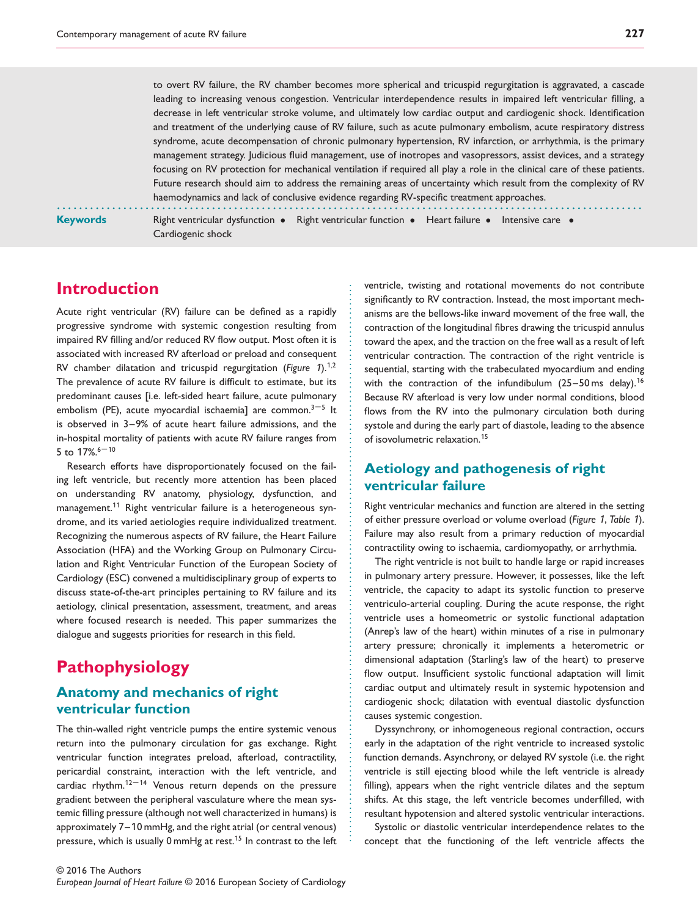to overt RV failure, the RV chamber becomes more spherical and tricuspid regurgitation is aggravated, a cascade leading to increasing venous congestion. Ventricular interdependence results in impaired left ventricular filling, a decrease in left ventricular stroke volume, and ultimately low cardiac output and cardiogenic shock. Identification and treatment of the underlying cause of RV failure, such as acute pulmonary embolism, acute respiratory distress syndrome, acute decompensation of chronic pulmonary hypertension, RV infarction, or arrhythmia, is the primary management strategy. Judicious fluid management, use of inotropes and vasopressors, assist devices, and a strategy focusing on RV protection for mechanical ventilation if required all play a role in the clinical care of these patients. Future research should aim to address the remaining areas of uncertainty which result from the complexity of RV haemodynamics and lack of conclusive evidence regarding RV-specific treatment approaches.

**Keywords** Right ventricular dysfunction • Right ventricular function • Heart failure • Intensive care • Cardiogenic shock

............................................................. ............................................................

# **Introduction**

Acute right ventricular (RV) failure can be defined as a rapidly progressive syndrome with systemic congestion resulting from impaired RV filling and/or reduced RV flow output. Most often it is associated with increased RV afterload or preload and consequent RV chamber dilatation and tricuspid regurgitation (*Figure* 1).<sup>1</sup>*,*<sup>2</sup> The prevalence of acute RV failure is difficult to estimate, but its predominant causes [i.e. left-sided heart failure, acute pulmonary embolism (PE), acute myocardial ischaemia] are common. $3-5$  It is observed in 3–9% of acute heart failure admissions, and the in-hospital mortality of patients with acute RV failure ranges from 5 to  $17\%$ .  $6 - 10$ 

Research efforts have disproportionately focused on the failing left ventricle, but recently more attention has been placed on understanding RV anatomy, physiology, dysfunction, and management.<sup>11</sup> Right ventricular failure is a heterogeneous syndrome, and its varied aetiologies require individualized treatment. Recognizing the numerous aspects of RV failure, the Heart Failure Association (HFA) and the Working Group on Pulmonary Circulation and Right Ventricular Function of the European Society of Cardiology (ESC) convened a multidisciplinary group of experts to discuss state-of-the-art principles pertaining to RV failure and its aetiology, clinical presentation, assessment, treatment, and areas where focused research is needed. This paper summarizes the dialogue and suggests priorities for research in this field.

# **Pathophysiology**

# **Anatomy and mechanics of right ventricular function**

The thin-walled right ventricle pumps the entire systemic venous return into the pulmonary circulation for gas exchange. Right ventricular function integrates preload, afterload, contractility, pericardial constraint, interaction with the left ventricle, and cardiac rhythm.<sup>12-14</sup> Venous return depends on the pressure gradient between the peripheral vasculature where the mean systemic filling pressure (although not well characterized in humans) is approximately 7–10 mmHg, and the right atrial (or central venous) pressure, which is usually 0 mmHg at rest.<sup>15</sup> In contrast to the left ventricle, twisting and rotational movements do not contribute significantly to RV contraction. Instead, the most important mechanisms are the bellows-like inward movement of the free wall, the contraction of the longitudinal fibres drawing the tricuspid annulus toward the apex, and the traction on the free wall as a result of left ventricular contraction. The contraction of the right ventricle is sequential, starting with the trabeculated myocardium and ending with the contraction of the infundibulum  $(25-50 \text{ ms}$  delay).<sup>16</sup> Because RV afterload is very low under normal conditions, blood flows from the RV into the pulmonary circulation both during systole and during the early part of diastole, leading to the absence of isovolumetric relaxation.<sup>15</sup>

# **Aetiology and pathogenesis of right ventricular failure**

Right ventricular mechanics and function are altered in the setting of either pressure overload or volume overload (*Figure* 1, *Table* 1). Failure may also result from a primary reduction of myocardial contractility owing to ischaemia, cardiomyopathy, or arrhythmia.

The right ventricle is not built to handle large or rapid increases in pulmonary artery pressure. However, it possesses, like the left ventricle, the capacity to adapt its systolic function to preserve ventriculo-arterial coupling. During the acute response, the right ventricle uses a homeometric or systolic functional adaptation (Anrep's law of the heart) within minutes of a rise in pulmonary artery pressure; chronically it implements a heterometric or dimensional adaptation (Starling's law of the heart) to preserve flow output. Insufficient systolic functional adaptation will limit cardiac output and ultimately result in systemic hypotension and cardiogenic shock; dilatation with eventual diastolic dysfunction causes systemic congestion.

Dyssynchrony, or inhomogeneous regional contraction, occurs early in the adaptation of the right ventricle to increased systolic function demands. Asynchrony, or delayed RV systole (i.e. the right ventricle is still ejecting blood while the left ventricle is already filling), appears when the right ventricle dilates and the septum shifts. At this stage, the left ventricle becomes underfilled, with resultant hypotension and altered systolic ventricular interactions.

Systolic or diastolic ventricular interdependence relates to the concept that the functioning of the left ventricle affects the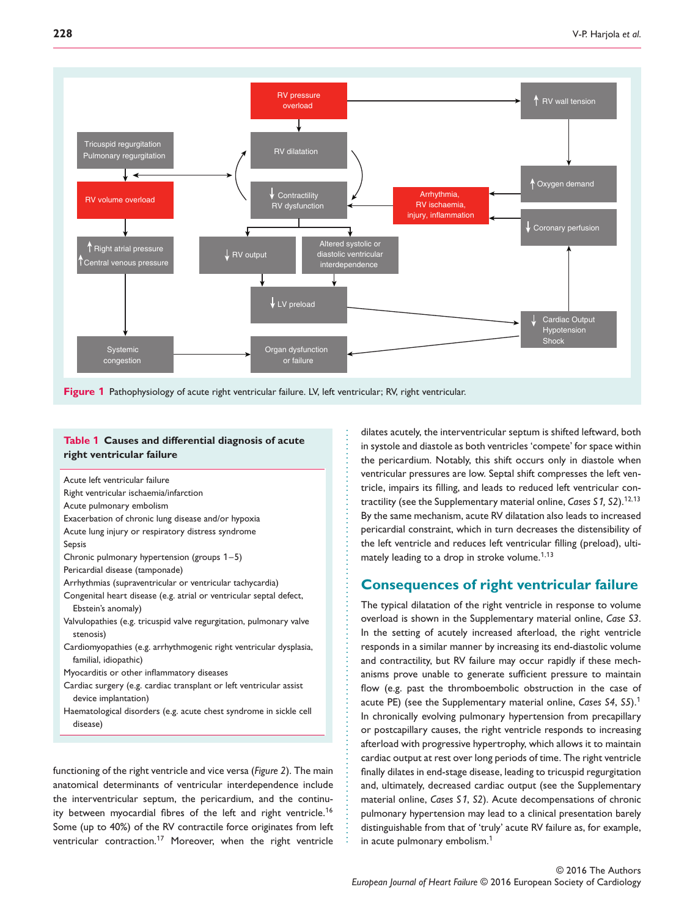

.............................................. ............................................

#### **Table 1 Causes and differential diagnosis of acute right ventricular failure**

Acute left ventricular failure Right ventricular ischaemia/infarction Acute pulmonary embolism Exacerbation of chronic lung disease and/or hypoxia Acute lung injury or respiratory distress syndrome Sepsis Chronic pulmonary hypertension (groups 1–5) Pericardial disease (tamponade) Arrhythmias (supraventricular or ventricular tachycardia) Congenital heart disease (e.g. atrial or ventricular septal defect, Ebstein's anomaly) Valvulopathies (e.g. tricuspid valve regurgitation, pulmonary valve stenosis) Cardiomyopathies (e.g. arrhythmogenic right ventricular dysplasia, familial, idiopathic) Myocarditis or other inflammatory diseases Cardiac surgery (e.g. cardiac transplant or left ventricular assist device implantation) Haematological disorders (e.g. acute chest syndrome in sickle cell disease)

functioning of the right ventricle and vice versa (*Figure 2*). The main anatomical determinants of ventricular interdependence include the interventricular septum, the pericardium, and the continuity between myocardial fibres of the left and right ventricle.<sup>16</sup> Some (up to 40%) of the RV contractile force originates from left ventricular contraction.<sup>17</sup> Moreover, when the right ventricle dilates acutely, the interventricular septum is shifted leftward, both in systole and diastole as both ventricles 'compete' for space within the pericardium. Notably, this shift occurs only in diastole when ventricular pressures are low. Septal shift compresses the left ventricle, impairs its filling, and leads to reduced left ventricular contractility (see the Supplementary material online, *Cases S*1*, S2*).<sup>1</sup>2*,*1<sup>3</sup> By the same mechanism, acute RV dilatation also leads to increased pericardial constraint, which in turn decreases the distensibility of the left ventricle and reduces left ventricular filling (preload), ultimately leading to a drop in stroke volume.<sup>1</sup>*,*1<sup>3</sup>

# **Consequences of right ventricular failure**

The typical dilatation of the right ventricle in response to volume overload is shown in the Supplementary material online, *Case S3*. In the setting of acutely increased afterload, the right ventricle responds in a similar manner by increasing its end-diastolic volume and contractility, but RV failure may occur rapidly if these mechanisms prove unable to generate sufficient pressure to maintain flow (e.g. past the thromboembolic obstruction in the case of acute PE) (see the Supplementary material online, *Cases S4*, *S5*).<sup>1</sup> In chronically evolving pulmonary hypertension from precapillary or postcapillary causes, the right ventricle responds to increasing afterload with progressive hypertrophy, which allows it to maintain cardiac output at rest over long periods of time. The right ventricle finally dilates in end-stage disease, leading to tricuspid regurgitation and, ultimately, decreased cardiac output (see the Supplementary material online, *Cases S*1, *S2*). Acute decompensations of chronic pulmonary hypertension may lead to a clinical presentation barely distinguishable from that of 'truly' acute RV failure as, for example, in acute pulmonary embolism.<sup>1</sup>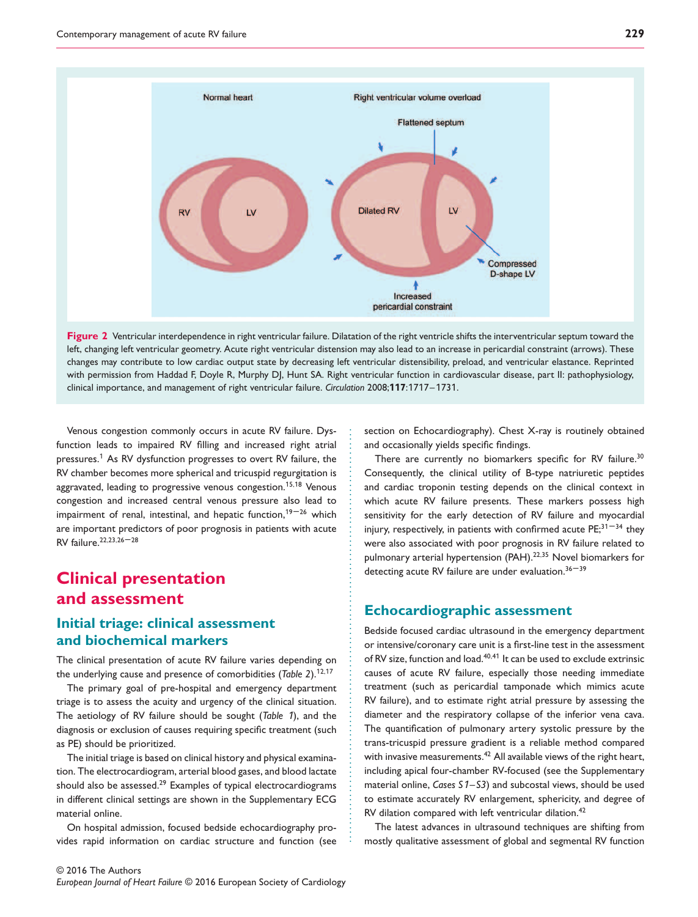

Figure 2 Ventricular interdependence in right ventricular failure. Dilatation of the right ventricle shifts the interventricular septum toward the left, changing left ventricular geometry. Acute right ventricular distension may also lead to an increase in pericardial constraint (arrows). These changes may contribute to low cardiac output state by decreasing left ventricular distensibility, preload, and ventricular elastance. Reprinted with permission from Haddad F, Doyle R, Murphy DJ, Hunt SA. Right ventricular function in cardiovascular disease, part II: pathophysiology, clinical importance, and management of right ventricular failure. *Circulation* 2008;**117**:1717–1731.

............................................. .............................................

Venous congestion commonly occurs in acute RV failure. Dysfunction leads to impaired RV filling and increased right atrial pressures.<sup>1</sup> As RV dysfunction progresses to overt RV failure, the RV chamber becomes more spherical and tricuspid regurgitation is aggravated, leading to progressive venous congestion.<sup>1</sup>5*,*1<sup>8</sup> Venous congestion and increased central venous pressure also lead to impairment of renal, intestinal, and hepatic function, $19-26$  which are important predictors of poor prognosis in patients with acute RV failure.22*,*23*,*<sup>26</sup> –28

# **Clinical presentation and assessment**

# **Initial triage: clinical assessment and biochemical markers**

The clinical presentation of acute RV failure varies depending on the underlying cause and presence of comorbidities (*Table 2*).<sup>1</sup>2*,*1<sup>7</sup>

The primary goal of pre-hospital and emergency department triage is to assess the acuity and urgency of the clinical situation. The aetiology of RV failure should be sought (*Table* 1), and the diagnosis or exclusion of causes requiring specific treatment (such as PE) should be prioritized.

The initial triage is based on clinical history and physical examination. The electrocardiogram, arterial blood gases, and blood lactate should also be assessed.<sup>29</sup> Examples of typical electrocardiograms in different clinical settings are shown in the Supplementary ECG material online.

On hospital admission, focused bedside echocardiography provides rapid information on cardiac structure and function (see section on Echocardiography). Chest X-ray is routinely obtained and occasionally yields specific findings.

There are currently no biomarkers specific for RV failure.<sup>30</sup> Consequently, the clinical utility of B-type natriuretic peptides and cardiac troponin testing depends on the clinical context in which acute RV failure presents. These markers possess high sensitivity for the early detection of RV failure and myocardial injury, respectively, in patients with confirmed acute  $PE;^{31-34}$  they were also associated with poor prognosis in RV failure related to pulmonary arterial hypertension (PAH).<sup>22,35</sup> Novel biomarkers for detecting acute RV failure are under evaluation.  $36 - 39$ 

## **Echocardiographic assessment**

Bedside focused cardiac ultrasound in the emergency department or intensive/coronary care unit is a first-line test in the assessment of RV size, function and load.40*,*4<sup>1</sup> It can be used to exclude extrinsic causes of acute RV failure, especially those needing immediate treatment (such as pericardial tamponade which mimics acute RV failure), and to estimate right atrial pressure by assessing the diameter and the respiratory collapse of the inferior vena cava. The quantification of pulmonary artery systolic pressure by the trans-tricuspid pressure gradient is a reliable method compared with invasive measurements.<sup>42</sup> All available views of the right heart, including apical four-chamber RV-focused (see the Supplementary material online, *Cases S*1*–S3*) and subcostal views, should be used to estimate accurately RV enlargement, sphericity, and degree of RV dilation compared with left ventricular dilation.<sup>42</sup>

The latest advances in ultrasound techniques are shifting from mostly qualitative assessment of global and segmental RV function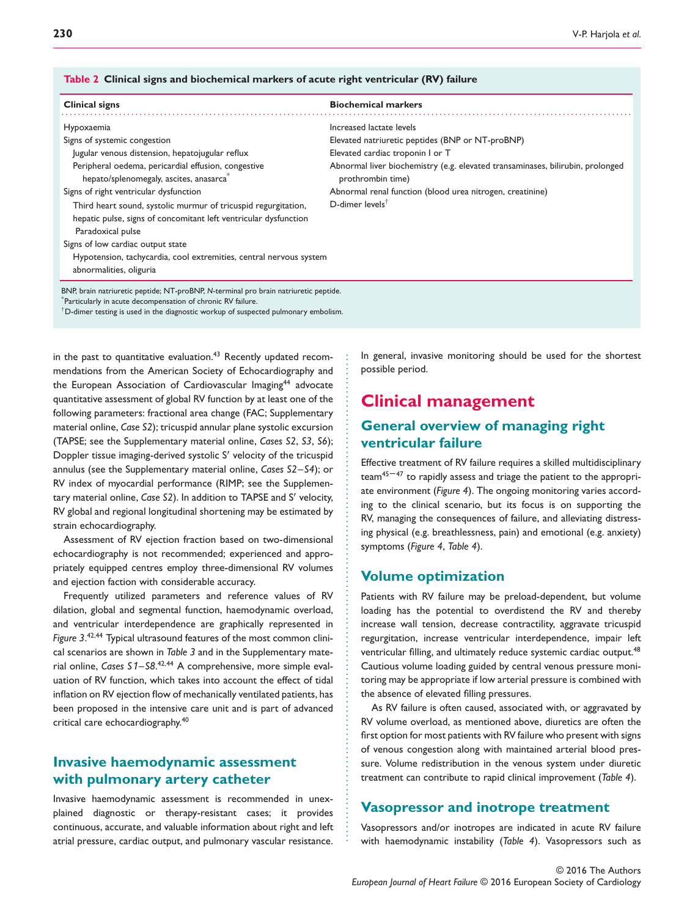#### **Table 2 Clinical signs and biochemical markers of acute right ventricular (RV) failure**

| Clinical signs                                                                                                                                          | <b>Biochemical markers</b>                                                                          |
|---------------------------------------------------------------------------------------------------------------------------------------------------------|-----------------------------------------------------------------------------------------------------|
| Hypoxaemia                                                                                                                                              | Increased lactate levels                                                                            |
| Signs of systemic congestion                                                                                                                            | Elevated natriuretic peptides (BNP or NT-proBNP)                                                    |
| Jugular venous distension, hepatojugular reflux                                                                                                         | Elevated cardiac troponin I or T                                                                    |
| Peripheral oedema, pericardial effusion, congestive<br>hepato/splenomegaly, ascites, anasarca                                                           | Abnormal liver biochemistry (e.g. elevated transaminases, bilirubin, prolonged<br>prothrombin time) |
| Signs of right ventricular dysfunction                                                                                                                  | Abnormal renal function (blood urea nitrogen, creatinine)                                           |
| Third heart sound, systolic murmur of tricuspid regurgitation,<br>hepatic pulse, signs of concomitant left ventricular dysfunction<br>Paradoxical pulse | D-dimer levels <sup>†</sup>                                                                         |
| Signs of low cardiac output state                                                                                                                       |                                                                                                     |
| Hypotension, tachycardia, cool extremities, central nervous system<br>abnormalities, oliguria                                                           |                                                                                                     |
| BNP, brain natriuretic peptide; NT-proBNP, N-terminal pro brain natriuretic peptide.<br>Particularly in acute decompensation of chronic RV failure.     |                                                                                                     |

...................................................... ....................................................

 $^\dagger$ D-dimer testing is used in the diagnostic workup of suspected pulmonary embolism.

in the past to quantitative evaluation.<sup>43</sup> Recently updated recommendations from the American Society of Echocardiography and the European Association of Cardiovascular Imaging<sup>44</sup> advocate quantitative assessment of global RV function by at least one of the following parameters: fractional area change (FAC; Supplementary material online, *Case S2*); tricuspid annular plane systolic excursion (TAPSE; see the Supplementary material online, *Cases S2*, *S3*, *S6*); Doppler tissue imaging-derived systolic S′ velocity of the tricuspid annulus (see the Supplementary material online, *Cases S2–S4*); or RV index of myocardial performance (RIMP; see the Supplementary material online, *Case S2*). In addition to TAPSE and S′ velocity, RV global and regional longitudinal shortening may be estimated by strain echocardiography.

Assessment of RV ejection fraction based on two-dimensional echocardiography is not recommended; experienced and appropriately equipped centres employ three-dimensional RV volumes and ejection faction with considerable accuracy.

Frequently utilized parameters and reference values of RV dilation, global and segmental function, haemodynamic overload, and ventricular interdependence are graphically represented in *Figure 3*. <sup>42</sup>*,*<sup>44</sup> Typical ultrasound features of the most common clinical scenarios are shown in *Table 3* and in the Supplementary material online, *Cases S*1*–S8*. <sup>42</sup>*,*<sup>44</sup> A comprehensive, more simple evaluation of RV function, which takes into account the effect of tidal inflation on RV ejection flow of mechanically ventilated patients, has been proposed in the intensive care unit and is part of advanced critical care echocardiography.40

# **Invasive haemodynamic assessment with pulmonary artery catheter**

Invasive haemodynamic assessment is recommended in unexplained diagnostic or therapy-resistant cases; it provides continuous, accurate, and valuable information about right and left atrial pressure, cardiac output, and pulmonary vascular resistance. In general, invasive monitoring should be used for the shortest possible period.

# **Clinical management**

# **General overview of managing right ventricular failure**

Effective treatment of RV failure requires a skilled multidisciplinary  $\text{team}^{45-47}$  to rapidly assess and triage the patient to the appropriate environment (*Figure 4*). The ongoing monitoring varies according to the clinical scenario, but its focus is on supporting the RV, managing the consequences of failure, and alleviating distressing physical (e.g. breathlessness, pain) and emotional (e.g. anxiety) symptoms (*Figure 4*, *Table 4*).

#### **Volume optimization**

Patients with RV failure may be preload-dependent, but volume loading has the potential to overdistend the RV and thereby increase wall tension, decrease contractility, aggravate tricuspid regurgitation, increase ventricular interdependence, impair left ventricular filling, and ultimately reduce systemic cardiac output.<sup>48</sup> Cautious volume loading guided by central venous pressure monitoring may be appropriate if low arterial pressure is combined with the absence of elevated filling pressures.

As RV failure is often caused, associated with, or aggravated by RV volume overload, as mentioned above, diuretics are often the first option for most patients with RV failure who present with signs of venous congestion along with maintained arterial blood pressure. Volume redistribution in the venous system under diuretic treatment can contribute to rapid clinical improvement (*Table 4*).

#### **Vasopressor and inotrope treatment**

Vasopressors and/or inotropes are indicated in acute RV failure with haemodynamic instability (*Table 4*). Vasopressors such as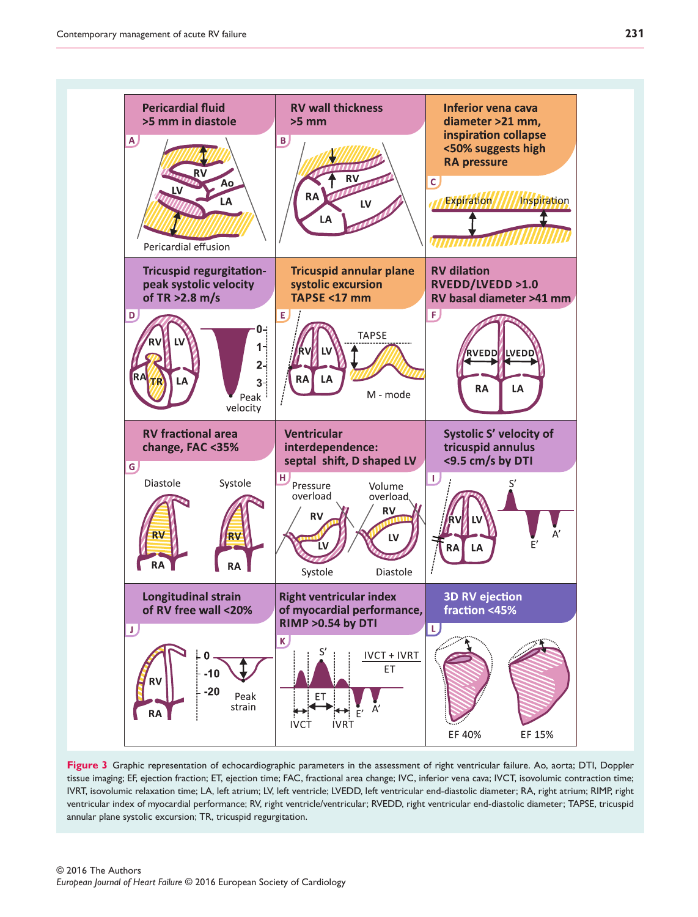

**Figure 3** Graphic representation of echocardiographic parameters in the assessment of right ventricular failure. Ao, aorta; DTI, Doppler tissue imaging; EF, ejection fraction; ET, ejection time; FAC, fractional area change; IVC, inferior vena cava; IVCT, isovolumic contraction time; IVRT, isovolumic relaxation time; LA, left atrium; LV, left ventricle; LVEDD, left ventricular end-diastolic diameter; RA, right atrium; RIMP, right ventricular index of myocardial performance; RV, right ventricle/ventricular; RVEDD, right ventricular end-diastolic diameter; TAPSE, tricuspid annular plane systolic excursion; TR, tricuspid regurgitation.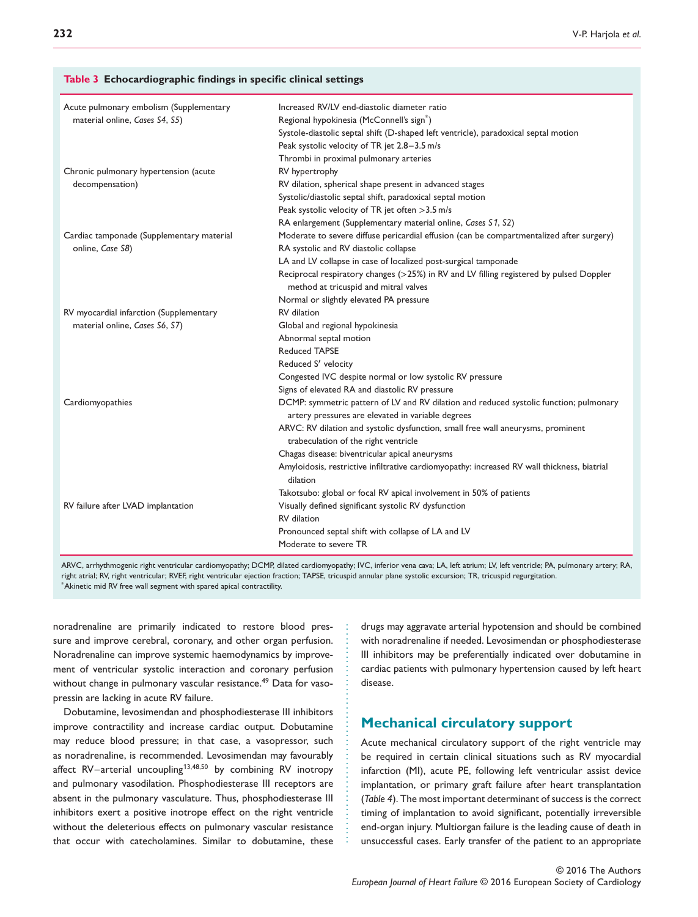#### **Table 3 Echocardiographic findings in specific clinical settings**

| Acute pulmonary embolism (Supplementary   | Increased RV/LV end-diastolic diameter ratio                                                |
|-------------------------------------------|---------------------------------------------------------------------------------------------|
| material online, Cases S4, S5)            | Regional hypokinesia (McConnell's sign <sup>*</sup> )                                       |
|                                           | Systole-diastolic septal shift (D-shaped left ventricle), paradoxical septal motion         |
|                                           | Peak systolic velocity of TR jet 2.8-3.5 m/s                                                |
|                                           | Thrombi in proximal pulmonary arteries                                                      |
| Chronic pulmonary hypertension (acute     | RV hypertrophy                                                                              |
| decompensation)                           | RV dilation, spherical shape present in advanced stages                                     |
|                                           | Systolic/diastolic septal shift, paradoxical septal motion                                  |
|                                           | Peak systolic velocity of TR jet often > 3.5 m/s                                            |
|                                           | RA enlargement (Supplementary material online, Cases S1, S2)                                |
| Cardiac tamponade (Supplementary material | Moderate to severe diffuse pericardial effusion (can be compartmentalized after surgery)    |
| online, Case S8)                          | RA systolic and RV diastolic collapse                                                       |
|                                           | LA and LV collapse in case of localized post-surgical tamponade                             |
|                                           | Reciprocal respiratory changes (>25%) in RV and LV filling registered by pulsed Doppler     |
|                                           | method at tricuspid and mitral valves                                                       |
|                                           | Normal or slightly elevated PA pressure                                                     |
| RV myocardial infarction (Supplementary   | <b>RV</b> dilation                                                                          |
| material online, Cases S6, S7)            | Global and regional hypokinesia                                                             |
|                                           | Abnormal septal motion                                                                      |
|                                           | <b>Reduced TAPSE</b>                                                                        |
|                                           | Reduced S' velocity                                                                         |
|                                           | Congested IVC despite normal or low systolic RV pressure                                    |
|                                           | Signs of elevated RA and diastolic RV pressure                                              |
| Cardiomyopathies                          | DCMP: symmetric pattern of LV and RV dilation and reduced systolic function; pulmonary      |
|                                           | artery pressures are elevated in variable degrees                                           |
|                                           | ARVC: RV dilation and systolic dysfunction, small free wall aneurysms, prominent            |
|                                           | trabeculation of the right ventricle                                                        |
|                                           | Chagas disease: biventricular apical aneurysms                                              |
|                                           | Amyloidosis, restrictive infiltrative cardiomyopathy: increased RV wall thickness, biatrial |
|                                           | dilation                                                                                    |
|                                           | Takotsubo: global or focal RV apical involvement in 50% of patients                         |
| RV failure after LVAD implantation        | Visually defined significant systolic RV dysfunction                                        |
|                                           | RV dilation                                                                                 |
|                                           | Pronounced septal shift with collapse of LA and LV                                          |
|                                           | Moderate to severe TR                                                                       |
|                                           |                                                                                             |

ARVC, arrhythmogenic right ventricular cardiomyopathy; DCMP, dilated cardiomyopathy; IVC, inferior vena cava; LA, left atrium; LV, left ventricle; PA, pulmonary artery; RA, right atrial; RV, right ventricular; RVEF, right ventricular ejection fraction; TAPSE, tricuspid annular plane systolic excursion; TR, tricuspid regurgitation. \*Akinetic mid RV free wall segment with spared apical contractility.

................................................

noradrenaline are primarily indicated to restore blood pressure and improve cerebral, coronary, and other organ perfusion. Noradrenaline can improve systemic haemodynamics by improvement of ventricular systolic interaction and coronary perfusion without change in pulmonary vascular resistance.<sup>49</sup> Data for vasopressin are lacking in acute RV failure.

Dobutamine, levosimendan and phosphodiesterase III inhibitors improve contractility and increase cardiac output. Dobutamine may reduce blood pressure; in that case, a vasopressor, such as noradrenaline, is recommended. Levosimendan may favourably affect RV–arterial uncoupling<sup>1</sup>3*,*48*,*<sup>50</sup> by combining RV inotropy and pulmonary vasodilation. Phosphodiesterase III receptors are absent in the pulmonary vasculature. Thus, phosphodiesterase III inhibitors exert a positive inotrope effect on the right ventricle without the deleterious effects on pulmonary vascular resistance that occur with catecholamines. Similar to dobutamine, these drugs may aggravate arterial hypotension and should be combined with noradrenaline if needed. Levosimendan or phosphodiesterase III inhibitors may be preferentially indicated over dobutamine in cardiac patients with pulmonary hypertension caused by left heart disease.

## **Mechanical circulatory support**

Acute mechanical circulatory support of the right ventricle may be required in certain clinical situations such as RV myocardial infarction (MI), acute PE, following left ventricular assist device implantation, or primary graft failure after heart transplantation (*Table 4*). The most important determinant of success is the correct timing of implantation to avoid significant, potentially irreversible end-organ injury. Multiorgan failure is the leading cause of death in unsuccessful cases. Early transfer of the patient to an appropriate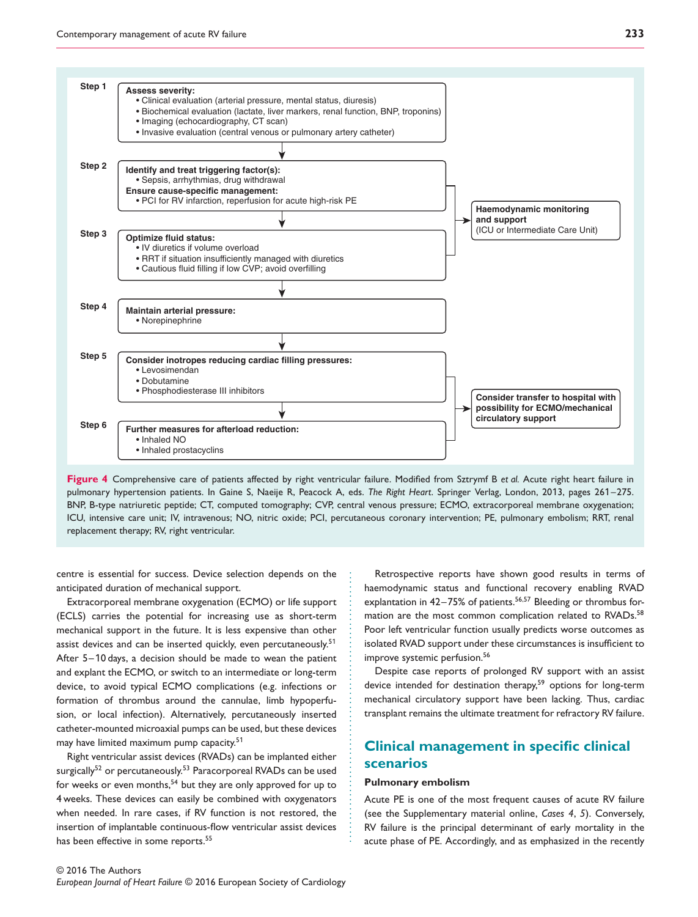![](_page_7_Figure_1.jpeg)

**Figure 4** Comprehensive care of patients affected by right ventricular failure. Modified from Sztrymf B *et al.* Acute right heart failure in pulmonary hypertension patients. In Gaine S, Naeije R, Peacock A, eds. *The Right Heart*. Springer Verlag, London, 2013, pages 261–275. BNP, B-type natriuretic peptide; CT, computed tomography; CVP, central venous pressure; ECMO, extracorporeal membrane oxygenation; ICU, intensive care unit; IV, intravenous; NO, nitric oxide; PCI, percutaneous coronary intervention; PE, pulmonary embolism; RRT, renal replacement therapy; RV, right ventricular.

...........................................................

centre is essential for success. Device selection depends on the anticipated duration of mechanical support.

Extracorporeal membrane oxygenation (ECMO) or life support (ECLS) carries the potential for increasing use as short-term mechanical support in the future. It is less expensive than other assist devices and can be inserted quickly, even percutaneously.<sup>51</sup> After 5–10 days, a decision should be made to wean the patient and explant the ECMO, or switch to an intermediate or long-term device, to avoid typical ECMO complications (e.g. infections or formation of thrombus around the cannulae, limb hypoperfusion, or local infection). Alternatively, percutaneously inserted catheter-mounted microaxial pumps can be used, but these devices may have limited maximum pump capacity.<sup>51</sup>

Right ventricular assist devices (RVADs) can be implanted either surgically<sup>52</sup> or percutaneously.<sup>53</sup> Paracorporeal RVADs can be used for weeks or even months,<sup>54</sup> but they are only approved for up to 4 weeks. These devices can easily be combined with oxygenators when needed. In rare cases, if RV function is not restored, the insertion of implantable continuous-flow ventricular assist devices has been effective in some reports.<sup>55</sup>

Retrospective reports have shown good results in terms of haemodynamic status and functional recovery enabling RVAD explantation in 42–75% of patients.<sup>56,57</sup> Bleeding or thrombus formation are the most common complication related to RVADs.<sup>58</sup> Poor left ventricular function usually predicts worse outcomes as isolated RVAD support under these circumstances is insufficient to improve systemic perfusion.<sup>56</sup>

Despite case reports of prolonged RV support with an assist device intended for destination therapy,<sup>59</sup> options for long-term mechanical circulatory support have been lacking. Thus, cardiac transplant remains the ultimate treatment for refractory RV failure.

# **Clinical management in specific clinical scenarios**

#### **Pulmonary embolism**

Acute PE is one of the most frequent causes of acute RV failure (see the Supplementary material online, *Cases 4*, *5*). Conversely, RV failure is the principal determinant of early mortality in the acute phase of PE. Accordingly, and as emphasized in the recently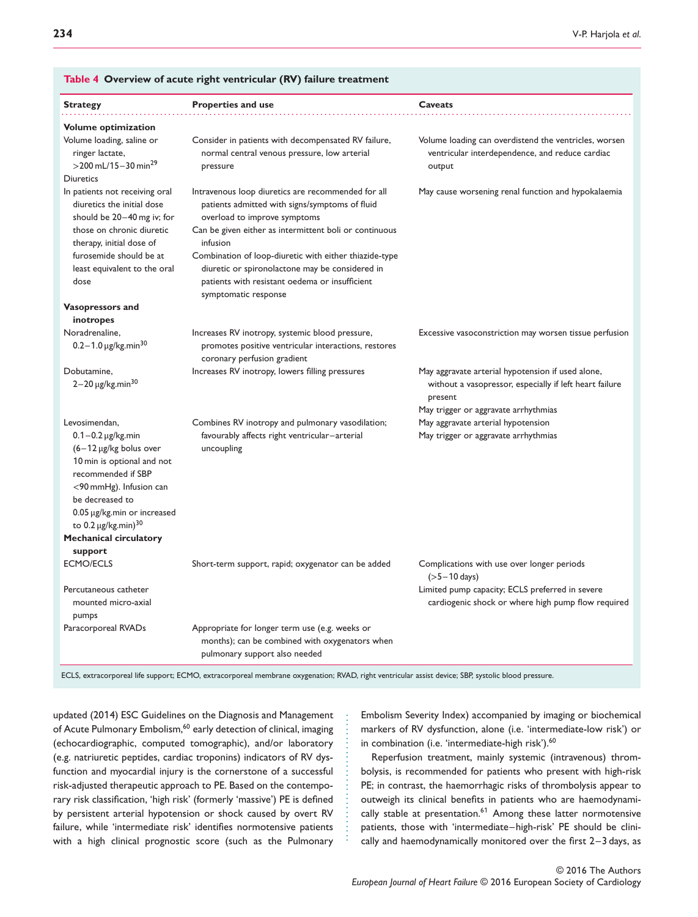| <b>Strategy</b>                                                                                                                                                                                                                                                          | <b>Properties and use</b>                                                                                                                                                                                                                                                                                                                                                                         | Caveats                                                                                                                                                         |
|--------------------------------------------------------------------------------------------------------------------------------------------------------------------------------------------------------------------------------------------------------------------------|---------------------------------------------------------------------------------------------------------------------------------------------------------------------------------------------------------------------------------------------------------------------------------------------------------------------------------------------------------------------------------------------------|-----------------------------------------------------------------------------------------------------------------------------------------------------------------|
| <b>Volume optimization</b>                                                                                                                                                                                                                                               |                                                                                                                                                                                                                                                                                                                                                                                                   |                                                                                                                                                                 |
| Volume loading, saline or<br>ringer lactate,<br>$>$ 200 mL/15 – 30 min <sup>29</sup><br><b>Diuretics</b>                                                                                                                                                                 | Consider in patients with decompensated RV failure,<br>normal central venous pressure, low arterial<br>pressure                                                                                                                                                                                                                                                                                   | Volume loading can overdistend the ventricles, worsen<br>ventricular interdependence, and reduce cardiac<br>output                                              |
| In patients not receiving oral<br>diuretics the initial dose<br>should be 20-40 mg iv; for<br>those on chronic diuretic<br>therapy, initial dose of<br>furosemide should be at<br>least equivalent to the oral<br>dose                                                   | Intravenous loop diuretics are recommended for all<br>patients admitted with signs/symptoms of fluid<br>overload to improve symptoms<br>Can be given either as intermittent boli or continuous<br>infusion<br>Combination of loop-diuretic with either thiazide-type<br>diuretic or spironolactone may be considered in<br>patients with resistant oedema or insufficient<br>symptomatic response | May cause worsening renal function and hypokalaemia                                                                                                             |
| Vasopressors and                                                                                                                                                                                                                                                         |                                                                                                                                                                                                                                                                                                                                                                                                   |                                                                                                                                                                 |
| inotropes                                                                                                                                                                                                                                                                |                                                                                                                                                                                                                                                                                                                                                                                                   |                                                                                                                                                                 |
| Noradrenaline,<br>$0.2 - 1.0 \,\mu g/kg.min30$                                                                                                                                                                                                                           | Increases RV inotropy, systemic blood pressure,<br>promotes positive ventricular interactions, restores<br>coronary perfusion gradient                                                                                                                                                                                                                                                            | Excessive vasoconstriction may worsen tissue perfusion                                                                                                          |
| Dobutamine.<br>$2 - 20 \mu g/kg$ .min <sup>30</sup>                                                                                                                                                                                                                      | Increases RV inotropy, lowers filling pressures                                                                                                                                                                                                                                                                                                                                                   | May aggravate arterial hypotension if used alone,<br>without a vasopressor, especially if left heart failure<br>present<br>May trigger or aggravate arrhythmias |
| Levosimendan.                                                                                                                                                                                                                                                            | Combines RV inotropy and pulmonary vasodilation;                                                                                                                                                                                                                                                                                                                                                  | May aggravate arterial hypotension                                                                                                                              |
| $0.1 - 0.2 \,\mu g/kg$ .min<br>$(6-12 \mu g/kg$ bolus over<br>10 min is optional and not<br>recommended if SBP<br>$<$ 90 mmHg). Infusion can<br>be decreased to<br>0.05 µg/kg.min or increased<br>to $0.2 \mu g/kg$ .min) <sup>30</sup><br><b>Mechanical circulatory</b> | favourably affects right ventricular-arterial<br>uncoupling                                                                                                                                                                                                                                                                                                                                       | May trigger or aggravate arrhythmias                                                                                                                            |
| support                                                                                                                                                                                                                                                                  |                                                                                                                                                                                                                                                                                                                                                                                                   |                                                                                                                                                                 |
| <b>ECMO/ECLS</b>                                                                                                                                                                                                                                                         | Short-term support, rapid; oxygenator can be added                                                                                                                                                                                                                                                                                                                                                | Complications with use over longer periods<br>$($ >5 – 10 days)                                                                                                 |
| Percutaneous catheter<br>mounted micro-axial<br>pumps                                                                                                                                                                                                                    |                                                                                                                                                                                                                                                                                                                                                                                                   | Limited pump capacity; ECLS preferred in severe<br>cardiogenic shock or where high pump flow required                                                           |
| Paracorporeal RVADs                                                                                                                                                                                                                                                      | Appropriate for longer term use (e.g. weeks or<br>months); can be combined with oxygenators when<br>pulmonary support also needed                                                                                                                                                                                                                                                                 |                                                                                                                                                                 |

#### **Table 4 Overview of acute right ventricular (RV) failure treatment**

ECLS, extracorporeal life support; ECMO, extracorporeal membrane oxygenation; RVAD, right ventricular assist device; SBP, systolic blood pressure.

............................

updated (2014) ESC Guidelines on the Diagnosis and Management of Acute Pulmonary Embolism,<sup>60</sup> early detection of clinical, imaging (echocardiographic, computed tomographic), and/or laboratory (e.g. natriuretic peptides, cardiac troponins) indicators of RV dysfunction and myocardial injury is the cornerstone of a successful risk-adjusted therapeutic approach to PE. Based on the contemporary risk classification, 'high risk' (formerly 'massive') PE is defined by persistent arterial hypotension or shock caused by overt RV failure, while 'intermediate risk' identifies normotensive patients with a high clinical prognostic score (such as the Pulmonary Embolism Severity Index) accompanied by imaging or biochemical markers of RV dysfunction, alone (i.e. 'intermediate-low risk') or in combination (i.e. 'intermediate-high risk').<sup>60</sup>

Reperfusion treatment, mainly systemic (intravenous) thrombolysis, is recommended for patients who present with high-risk PE; in contrast, the haemorrhagic risks of thrombolysis appear to outweigh its clinical benefits in patients who are haemodynamically stable at presentation.<sup>61</sup> Among these latter normotensive patients, those with 'intermediate–high-risk' PE should be clinically and haemodynamically monitored over the first 2–3 days, as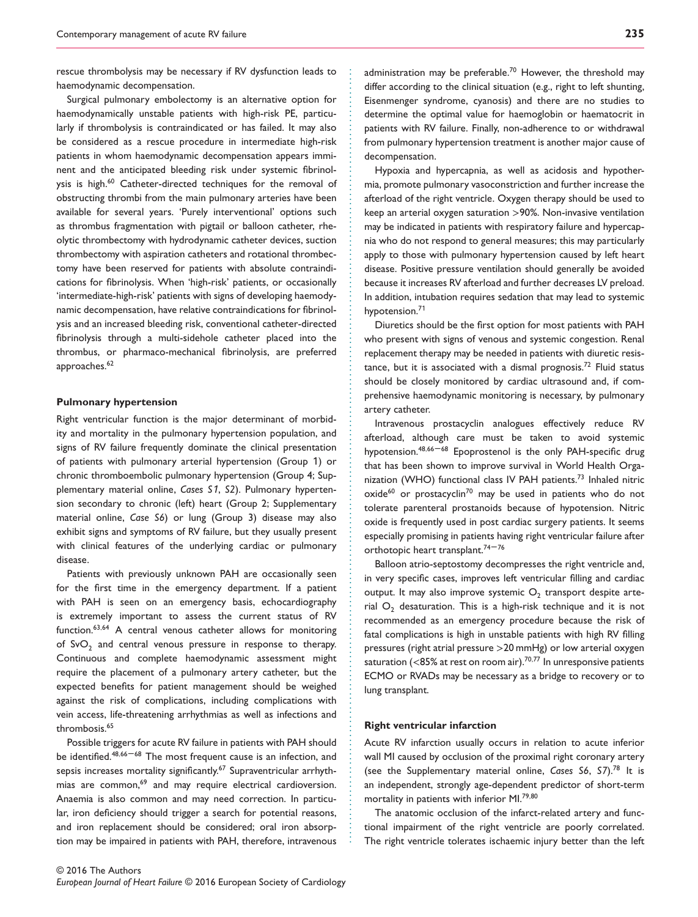rescue thrombolysis may be necessary if RV dysfunction leads to haemodynamic decompensation.

Surgical pulmonary embolectomy is an alternative option for haemodynamically unstable patients with high-risk PE, particularly if thrombolysis is contraindicated or has failed. It may also be considered as a rescue procedure in intermediate high-risk patients in whom haemodynamic decompensation appears imminent and the anticipated bleeding risk under systemic fibrinolysis is high.<sup>60</sup> Catheter-directed techniques for the removal of obstructing thrombi from the main pulmonary arteries have been available for several years. 'Purely interventional' options such as thrombus fragmentation with pigtail or balloon catheter, rheolytic thrombectomy with hydrodynamic catheter devices, suction thrombectomy with aspiration catheters and rotational thrombectomy have been reserved for patients with absolute contraindications for fibrinolysis. When 'high-risk' patients, or occasionally 'intermediate-high-risk' patients with signs of developing haemodynamic decompensation, have relative contraindications for fibrinolysis and an increased bleeding risk, conventional catheter-directed fibrinolysis through a multi-sidehole catheter placed into the thrombus, or pharmaco-mechanical fibrinolysis, are preferred approaches.<sup>62</sup>

#### **Pulmonary hypertension**

Right ventricular function is the major determinant of morbidity and mortality in the pulmonary hypertension population, and signs of RV failure frequently dominate the clinical presentation of patients with pulmonary arterial hypertension (Group 1) or chronic thromboembolic pulmonary hypertension (Group 4; Supplementary material online, *Cases S*1, *S2*). Pulmonary hypertension secondary to chronic (left) heart (Group 2; Supplementary material online, *Case S6*) or lung (Group 3) disease may also exhibit signs and symptoms of RV failure, but they usually present with clinical features of the underlying cardiac or pulmonary disease.

Patients with previously unknown PAH are occasionally seen for the first time in the emergency department. If a patient with PAH is seen on an emergency basis, echocardiography is extremely important to assess the current status of RV function.63*,*<sup>64</sup> A central venous catheter allows for monitoring of  $SvO<sub>2</sub>$  and central venous pressure in response to therapy. Continuous and complete haemodynamic assessment might require the placement of a pulmonary artery catheter, but the expected benefits for patient management should be weighed against the risk of complications, including complications with vein access, life-threatening arrhythmias as well as infections and thrombosis.<sup>65</sup>

Possible triggers for acute RV failure in patients with PAH should be identified.<sup>48,66-68</sup> The most frequent cause is an infection, and sepsis increases mortality significantly.<sup>67</sup> Supraventricular arrhythmias are common,<sup>69</sup> and may require electrical cardioversion. Anaemia is also common and may need correction. In particular, iron deficiency should trigger a search for potential reasons, and iron replacement should be considered; oral iron absorption may be impaired in patients with PAH, therefore, intravenous administration may be preferable.<sup>70</sup> However, the threshold may differ according to the clinical situation (e.g., right to left shunting, Eisenmenger syndrome, cyanosis) and there are no studies to determine the optimal value for haemoglobin or haematocrit in patients with RV failure. Finally, non-adherence to or withdrawal from pulmonary hypertension treatment is another major cause of decompensation.

Hypoxia and hypercapnia, as well as acidosis and hypothermia, promote pulmonary vasoconstriction and further increase the afterload of the right ventricle. Oxygen therapy should be used to keep an arterial oxygen saturation *>*90%. Non-invasive ventilation may be indicated in patients with respiratory failure and hypercapnia who do not respond to general measures; this may particularly apply to those with pulmonary hypertension caused by left heart disease. Positive pressure ventilation should generally be avoided because it increases RV afterload and further decreases LV preload. In addition, intubation requires sedation that may lead to systemic hypotension.<sup>71</sup>

Diuretics should be the first option for most patients with PAH who present with signs of venous and systemic congestion. Renal replacement therapy may be needed in patients with diuretic resistance, but it is associated with a dismal prognosis.<sup>72</sup> Fluid status should be closely monitored by cardiac ultrasound and, if comprehensive haemodynamic monitoring is necessary, by pulmonary artery catheter.

Intravenous prostacyclin analogues effectively reduce RV afterload, although care must be taken to avoid systemic hypotension.<sup>48,66-68</sup> Epoprostenol is the only PAH-specific drug that has been shown to improve survival in World Health Organization (WHO) functional class IV PAH patients.<sup>73</sup> Inhaled nitric  $o$ xide $^{60}$  or prostacyclin<sup>70</sup> may be used in patients who do not tolerate parenteral prostanoids because of hypotension. Nitric oxide is frequently used in post cardiac surgery patients. It seems especially promising in patients having right ventricular failure after orthotopic heart transplant.<sup>74-76</sup>

Balloon atrio-septostomy decompresses the right ventricle and, in very specific cases, improves left ventricular filling and cardiac output. It may also improve systemic  $O<sub>2</sub>$  transport despite arterial  $O<sub>2</sub>$  desaturation. This is a high-risk technique and it is not recommended as an emergency procedure because the risk of fatal complications is high in unstable patients with high RV filling pressures (right atrial pressure *>*20 mmHg) or low arterial oxygen saturation (*<*85% at rest on room air).<sup>70</sup>*,*<sup>77</sup> In unresponsive patients ECMO or RVADs may be necessary as a bridge to recovery or to lung transplant.

#### **Right ventricular infarction**

............................................................... ................................................................ .........................................

Acute RV infarction usually occurs in relation to acute inferior wall MI caused by occlusion of the proximal right coronary artery (see the Supplementary material online, *Cases S6*, *S7*).<sup>78</sup> It is an independent, strongly age-dependent predictor of short-term mortality in patients with inferior MI.79*,*<sup>80</sup>

The anatomic occlusion of the infarct-related artery and functional impairment of the right ventricle are poorly correlated. The right ventricle tolerates ischaemic injury better than the left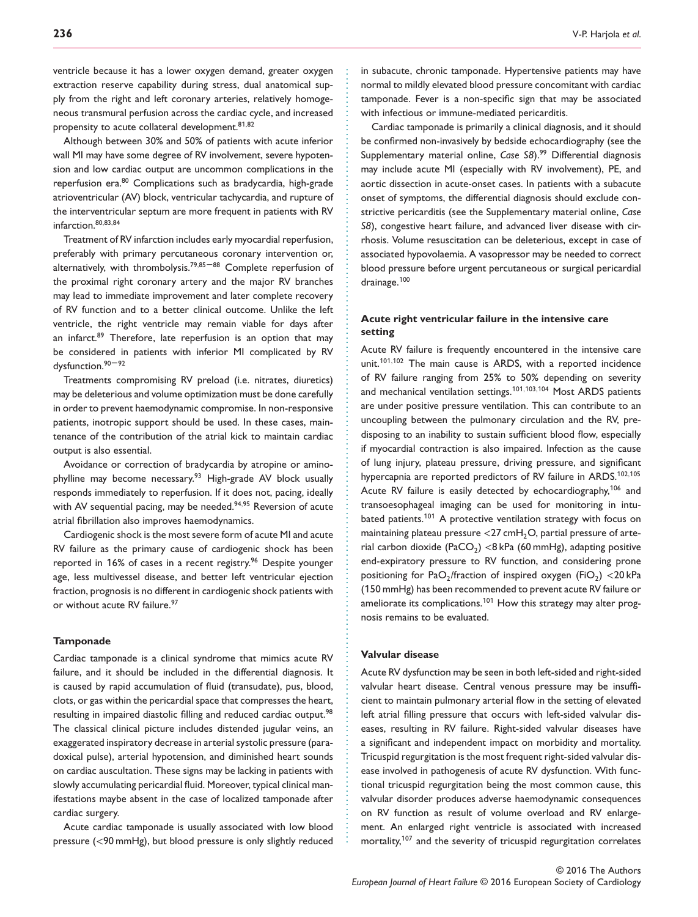ventricle because it has a lower oxygen demand, greater oxygen extraction reserve capability during stress, dual anatomical supply from the right and left coronary arteries, relatively homogeneous transmural perfusion across the cardiac cycle, and increased propensity to acute collateral development.8<sup>1</sup>*,*<sup>82</sup>

Although between 30% and 50% of patients with acute inferior wall MI may have some degree of RV involvement, severe hypotension and low cardiac output are uncommon complications in the reperfusion era.<sup>80</sup> Complications such as bradycardia, high-grade atrioventricular (AV) block, ventricular tachycardia, and rupture of the interventricular septum are more frequent in patients with RV infarction.80*,*83*,*<sup>84</sup>

Treatment of RV infarction includes early myocardial reperfusion, preferably with primary percutaneous coronary intervention or, alternatively, with thrombolysis.79*,*<sup>85</sup> –88 Complete reperfusion of the proximal right coronary artery and the major RV branches may lead to immediate improvement and later complete recovery of RV function and to a better clinical outcome. Unlike the left ventricle, the right ventricle may remain viable for days after an infarct.<sup>89</sup> Therefore, late reperfusion is an option that may be considered in patients with inferior MI complicated by RV dysfunction.<sup>90-92</sup>

Treatments compromising RV preload (i.e. nitrates, diuretics) may be deleterious and volume optimization must be done carefully in order to prevent haemodynamic compromise. In non-responsive patients, inotropic support should be used. In these cases, maintenance of the contribution of the atrial kick to maintain cardiac output is also essential.

Avoidance or correction of bradycardia by atropine or aminophylline may become necessary.<sup>93</sup> High-grade AV block usually responds immediately to reperfusion. If it does not, pacing, ideally with AV sequential pacing, may be needed.<sup>94,95</sup> Reversion of acute atrial fibrillation also improves haemodynamics.

Cardiogenic shock is the most severe form of acute MI and acute RV failure as the primary cause of cardiogenic shock has been reported in 16% of cases in a recent registry.<sup>96</sup> Despite younger age, less multivessel disease, and better left ventricular ejection fraction, prognosis is no different in cardiogenic shock patients with or without acute RV failure.<sup>97</sup>

#### **Tamponade**

Cardiac tamponade is a clinical syndrome that mimics acute RV failure, and it should be included in the differential diagnosis. It is caused by rapid accumulation of fluid (transudate), pus, blood, clots, or gas within the pericardial space that compresses the heart, resulting in impaired diastolic filling and reduced cardiac output.<sup>98</sup> The classical clinical picture includes distended jugular veins, an exaggerated inspiratory decrease in arterial systolic pressure (paradoxical pulse), arterial hypotension, and diminished heart sounds on cardiac auscultation. These signs may be lacking in patients with slowly accumulating pericardial fluid. Moreover, typical clinical manifestations maybe absent in the case of localized tamponade after cardiac surgery.

Acute cardiac tamponade is usually associated with low blood pressure (*<*90 mmHg), but blood pressure is only slightly reduced in subacute, chronic tamponade. Hypertensive patients may have normal to mildly elevated blood pressure concomitant with cardiac tamponade. Fever is a non-specific sign that may be associated with infectious or immune-mediated pericarditis.

Cardiac tamponade is primarily a clinical diagnosis, and it should be confirmed non-invasively by bedside echocardiography (see the Supplementary material online, *Case S8*).<sup>99</sup> Differential diagnosis may include acute MI (especially with RV involvement), PE, and aortic dissection in acute-onset cases. In patients with a subacute onset of symptoms, the differential diagnosis should exclude constrictive pericarditis (see the Supplementary material online, *Case S8*), congestive heart failure, and advanced liver disease with cirrhosis. Volume resuscitation can be deleterious, except in case of associated hypovolaemia. A vasopressor may be needed to correct blood pressure before urgent percutaneous or surgical pericardial drainage.<sup>100</sup>

#### **Acute right ventricular failure in the intensive care setting**

Acute RV failure is frequently encountered in the intensive care unit.<sup>1</sup>01*,*1<sup>02</sup> The main cause is ARDS, with a reported incidence of RV failure ranging from 25% to 50% depending on severity and mechanical ventilation settings.<sup>1</sup>01*,*103*,*1<sup>04</sup> Most ARDS patients are under positive pressure ventilation. This can contribute to an uncoupling between the pulmonary circulation and the RV, predisposing to an inability to sustain sufficient blood flow, especially if myocardial contraction is also impaired. Infection as the cause of lung injury, plateau pressure, driving pressure, and significant hypercapnia are reported predictors of RV failure in ARDS.<sup>1</sup>02*,*1<sup>05</sup> Acute RV failure is easily detected by echocardiography,<sup>106</sup> and transoesophageal imaging can be used for monitoring in intubated patients.<sup>101</sup> A protective ventilation strategy with focus on maintaining plateau pressure <27 cmH<sub>2</sub>O, partial pressure of arterial carbon dioxide (PaCO<sub>2</sub>) <8 kPa (60 mmHg), adapting positive end-expiratory pressure to RV function, and considering prone positioning for PaO<sub>2</sub>/fraction of inspired oxygen (FiO<sub>2</sub>) <20 kPa (150 mmHg) has been recommended to prevent acute RV failure or ameliorate its complications.<sup>101</sup> How this strategy may alter prognosis remains to be evaluated.

#### **Valvular disease**

............................................................... ................................................................ .........................................

Acute RV dysfunction may be seen in both left-sided and right-sided valvular heart disease. Central venous pressure may be insufficient to maintain pulmonary arterial flow in the setting of elevated left atrial filling pressure that occurs with left-sided valvular diseases, resulting in RV failure. Right-sided valvular diseases have a significant and independent impact on morbidity and mortality. Tricuspid regurgitation is the most frequent right-sided valvular disease involved in pathogenesis of acute RV dysfunction. With functional tricuspid regurgitation being the most common cause, this valvular disorder produces adverse haemodynamic consequences on RV function as result of volume overload and RV enlargement. An enlarged right ventricle is associated with increased mortality,<sup>107</sup> and the severity of tricuspid regurgitation correlates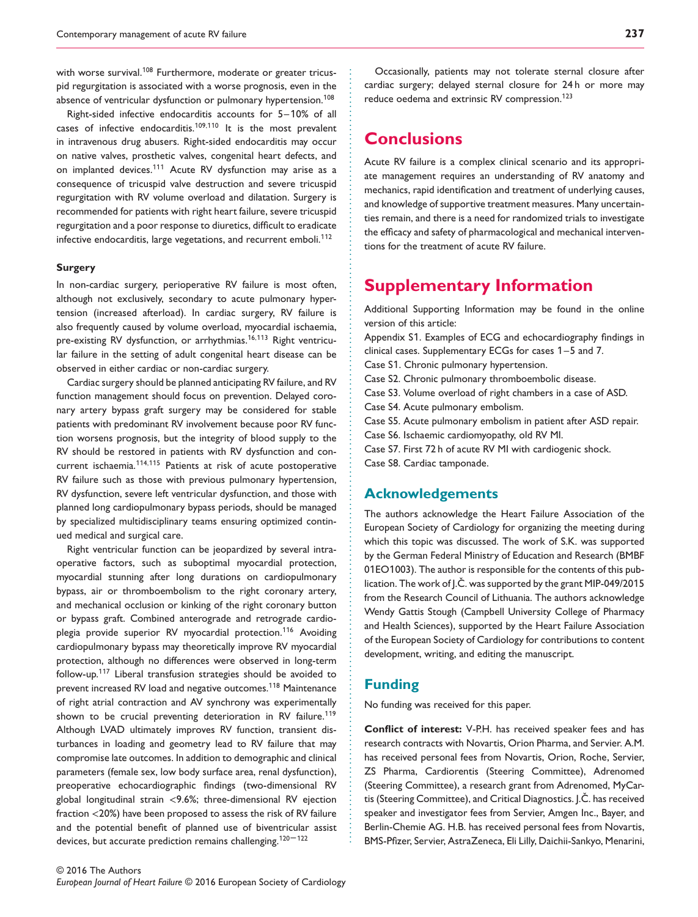with worse survival.<sup>108</sup> Furthermore, moderate or greater tricuspid regurgitation is associated with a worse prognosis, even in the absence of ventricular dysfunction or pulmonary hypertension.<sup>108</sup>

Right-sided infective endocarditis accounts for 5–10% of all cases of infective endocarditis.<sup>1</sup>09*,*11<sup>0</sup> It is the most prevalent in intravenous drug abusers. Right-sided endocarditis may occur on native valves, prosthetic valves, congenital heart defects, and on implanted devices.<sup>111</sup> Acute RV dysfunction may arise as a consequence of tricuspid valve destruction and severe tricuspid regurgitation with RV volume overload and dilatation. Surgery is recommended for patients with right heart failure, severe tricuspid regurgitation and a poor response to diuretics, difficult to eradicate infective endocarditis, large vegetations, and recurrent emboli.<sup>112</sup>

#### **Surgery**

In non-cardiac surgery, perioperative RV failure is most often, although not exclusively, secondary to acute pulmonary hypertension (increased afterload). In cardiac surgery, RV failure is also frequently caused by volume overload, myocardial ischaemia, pre-existing RV dysfunction, or arrhythmias.<sup>1</sup>6*,*11<sup>3</sup> Right ventricular failure in the setting of adult congenital heart disease can be observed in either cardiac or non-cardiac surgery.

Cardiac surgery should be planned anticipating RV failure, and RV function management should focus on prevention. Delayed coronary artery bypass graft surgery may be considered for stable patients with predominant RV involvement because poor RV function worsens prognosis, but the integrity of blood supply to the RV should be restored in patients with RV dysfunction and concurrent ischaemia.<sup>11</sup>4*,*11<sup>5</sup> Patients at risk of acute postoperative RV failure such as those with previous pulmonary hypertension, RV dysfunction, severe left ventricular dysfunction, and those with planned long cardiopulmonary bypass periods, should be managed by specialized multidisciplinary teams ensuring optimized continued medical and surgical care.

Right ventricular function can be jeopardized by several intraoperative factors, such as suboptimal myocardial protection, myocardial stunning after long durations on cardiopulmonary bypass, air or thromboembolism to the right coronary artery, and mechanical occlusion or kinking of the right coronary button or bypass graft. Combined anterograde and retrograde cardioplegia provide superior RV myocardial protection.<sup>116</sup> Avoiding cardiopulmonary bypass may theoretically improve RV myocardial protection, although no differences were observed in long-term follow-up.<sup>11</sup><sup>7</sup> Liberal transfusion strategies should be avoided to prevent increased RV load and negative outcomes.<sup>11</sup><sup>8</sup> Maintenance of right atrial contraction and AV synchrony was experimentally shown to be crucial preventing deterioration in RV failure.<sup>119</sup> Although LVAD ultimately improves RV function, transient disturbances in loading and geometry lead to RV failure that may compromise late outcomes. In addition to demographic and clinical parameters (female sex, low body surface area, renal dysfunction), preoperative echocardiographic findings (two-dimensional RV global longitudinal strain *<*9.6%; three-dimensional RV ejection fraction *<*20%) have been proposed to assess the risk of RV failure and the potential benefit of planned use of biventricular assist devices, but accurate prediction remains challenging.<sup>120-122</sup>

Occasionally, patients may not tolerate sternal closure after cardiac surgery; delayed sternal closure for 24 h or more may reduce oedema and extrinsic RV compression.<sup>123</sup>

# **Conclusions**

Acute RV failure is a complex clinical scenario and its appropriate management requires an understanding of RV anatomy and mechanics, rapid identification and treatment of underlying causes, and knowledge of supportive treatment measures. Many uncertainties remain, and there is a need for randomized trials to investigate the efficacy and safety of pharmacological and mechanical interventions for the treatment of acute RV failure.

# **Supplementary Information**

Additional Supporting Information may be found in the online version of this article: Appendix S1. Examples of ECG and echocardiography findings in clinical cases. Supplementary ECGs for cases 1–5 and 7. Case S1. Chronic pulmonary hypertension. Case S2. Chronic pulmonary thromboembolic disease. Case S3. Volume overload of right chambers in a case of ASD. Case S4. Acute pulmonary embolism. Case S5. Acute pulmonary embolism in patient after ASD repair. Case S6. Ischaemic cardiomyopathy, old RV MI. Case S7. First 72 h of acute RV MI with cardiogenic shock. Case S8. Cardiac tamponade.

### **Acknowledgements**

The authors acknowledge the Heart Failure Association of the European Society of Cardiology for organizing the meeting during which this topic was discussed. The work of S.K. was supported by the German Federal Ministry of Education and Research (BMBF 01EO1003). The author is responsible for the contents of this publication. The work of J.C. was supported by the grant MIP-049/2015 from the Research Council of Lithuania. The authors acknowledge Wendy Gattis Stough (Campbell University College of Pharmacy and Health Sciences), supported by the Heart Failure Association of the European Society of Cardiology for contributions to content development, writing, and editing the manuscript.

#### **Funding**

............................................................... ................................................................ .........................................

No funding was received for this paper.

**Conflict of interest:** V-P.H. has received speaker fees and has research contracts with Novartis, Orion Pharma, and Servier. A.M. has received personal fees from Novartis, Orion, Roche, Servier, ZS Pharma, Cardiorentis (Steering Committee), Adrenomed (Steering Committee), a research grant from Adrenomed, MyCartis (Steering Committee), and Critical Diagnostics. J.C. has received speaker and investigator fees from Servier, Amgen Inc., Bayer, and Berlin-Chemie AG. H.B. has received personal fees from Novartis, BMS-Pfizer, Servier, AstraZeneca, Eli Lilly, Daichii-Sankyo, Menarini,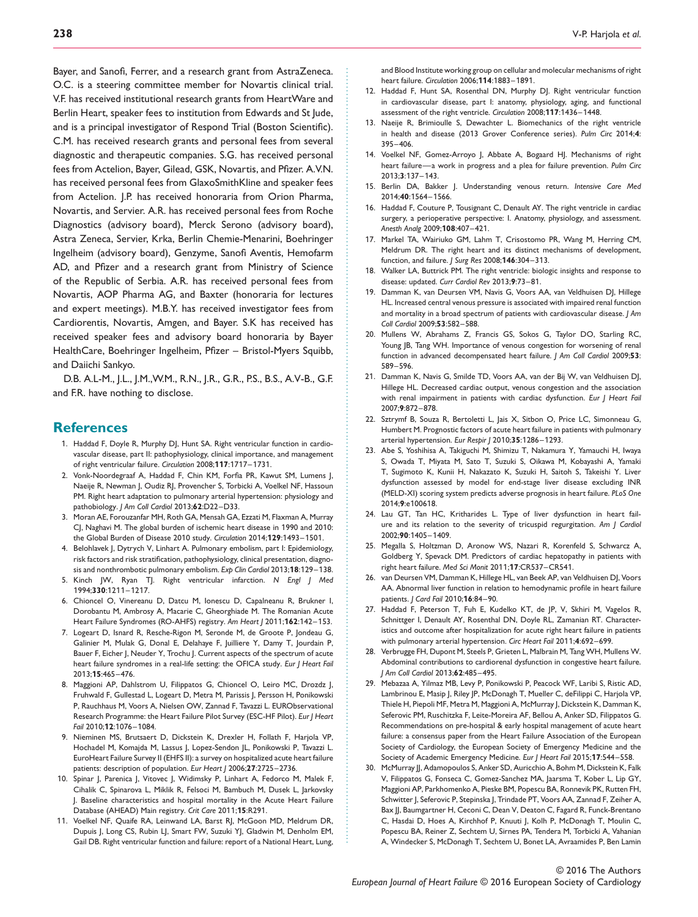Bayer, and Sanofi, Ferrer, and a research grant from AstraZeneca. O.C. is a steering committee member for Novartis clinical trial. V.F. has received institutional research grants from HeartWare and Berlin Heart, speaker fees to institution from Edwards and St Jude, and is a principal investigator of Respond Trial (Boston Scientific). C.M. has received research grants and personal fees from several diagnostic and therapeutic companies. S.G. has received personal fees from Actelion, Bayer, Gilead, GSK, Novartis, and Pfizer. A.V.N. has received personal fees from GlaxoSmithKline and speaker fees from Actelion. J.P. has received honoraria from Orion Pharma, Novartis, and Servier. A.R. has received personal fees from Roche Diagnostics (advisory board), Merck Serono (advisory board), Astra Zeneca, Servier, Krka, Berlin Chemie-Menarini, Boehringer Ingelheim (advisory board), Genzyme, Sanofi Aventis, Hemofarm AD, and Pfizer and a research grant from Ministry of Science of the Republic of Serbia. A.R. has received personal fees from Novartis, AOP Pharma AG, and Baxter (honoraria for lectures and expert meetings). M.B.Y. has received investigator fees from Cardiorentis, Novartis, Amgen, and Bayer. S.K has received has received speaker fees and advisory board honoraria by Bayer HealthCare, Boehringer Ingelheim, Pfizer – Bristol-Myers Squibb, and Daiichi Sankyo.

D.B. A.L-M., J.L., J.M.,W.M., R.N., J.R., G.R., P.S., B.S., A.V-B., G.F. and F.R. have nothing to disclose.

#### **References**

1. Haddad F, Doyle R, Murphy DJ, Hunt SA. Right ventricular function in cardiovascular disease, part II: pathophysiology, clinical importance, and management of right ventricular failure. *Circulation* 2008;**117**:1717–1731.

............................................................................................................................... .........................................................................................

- 2. Vonk-Noordegraaf A, Haddad F, Chin KM, Forfia PR, Kawut SM, Lumens J, Naeije R, Newman J, Oudiz RJ, Provencher S, Torbicki A, Voelkel NF, Hassoun PM. Right heart adaptation to pulmonary arterial hypertension: physiology and pathobiology. *J Am Coll Cardiol* 2013;**62**:D22–D33.
- 3. Moran AE, Forouzanfar MH, Roth GA, Mensah GA, Ezzati M, Flaxman A, Murray CJ, Naghavi M. The global burden of ischemic heart disease in 1990 and 2010: the Global Burden of Disease 2010 study. *Circulation* 2014;**129**:1493–1501.
- 4. Belohlavek J, Dytrych V, Linhart A. Pulmonary embolism, part I: Epidemiology, risk factors and risk stratification, pathophysiology, clinical presentation, diagnosis and nonthrombotic pulmonary embolism. *Exp Clin Cardiol* 2013;**18**:129–138.
- 5. Kinch JW, Ryan TJ. Right ventricular infarction. *N Engl J Med* 1994;**330**:1211–1217.
- 6. Chioncel O, Vinereanu D, Datcu M, Ionescu D, Capalneanu R, Brukner I, Dorobantu M, Ambrosy A, Macarie C, Gheorghiade M. The Romanian Acute Heart Failure Syndromes (RO-AHFS) registry. *Am Heart J* 2011;**162**:142–153.
- 7. Logeart D, Isnard R, Resche-Rigon M, Seronde M, de Groote P, Jondeau G, Galinier M, Mulak G, Donal E, Delahaye F, Juilliere Y, Damy T, Jourdain P, Bauer F, Eicher J, Neuder Y, Trochu J. Current aspects of the spectrum of acute heart failure syndromes in a real-life setting: the OFICA study. *Eur J Heart Fail* 2013;**15**:465–476.
- 8. Maggioni AP, Dahlstrom U, Filippatos G, Chioncel O, Leiro MC, Drozdz J, Fruhwald F, Gullestad L, Logeart D, Metra M, Parissis J, Persson H, Ponikowski P, Rauchhaus M, Voors A, Nielsen OW, Zannad F, Tavazzi L. EURObservational Research Programme: the Heart Failure Pilot Survey (ESC-HF Pilot). *Eur J Heart Fail* 2010;**12**:1076–1084.
- 9. Nieminen MS, Brutsaert D, Dickstein K, Drexler H, Follath F, Harjola VP, Hochadel M, Komajda M, Lassus J, Lopez-Sendon JL, Ponikowski P, Tavazzi L. EuroHeart Failure Survey II (EHFS II): a survey on hospitalized acute heart failure patients: description of population. *Eur Heart J* 2006;**27**:2725–2736.
- 10. Spinar J, Parenica J, Vitovec J, Widimsky P, Linhart A, Fedorco M, Malek F, Cihalik C, Spinarova L, Miklik R, Felsoci M, Bambuch M, Dusek L, Jarkovsky J. Baseline characteristics and hospital mortality in the Acute Heart Failure Database (AHEAD) Main registry. *Crit Care* 2011;**15**:R291.
- 11. Voelkel NF, Quaife RA, Leinwand LA, Barst RJ, McGoon MD, Meldrum DR, Dupuis J, Long CS, Rubin LJ, Smart FW, Suzuki YJ, Gladwin M, Denholm EM, Gail DB. Right ventricular function and failure: report of a National Heart, Lung,

and Blood Institute working group on cellular and molecular mechanisms of right heart failure. *Circulation* 2006;**114**:1883–1891.

- 12. Haddad F, Hunt SA, Rosenthal DN, Murphy DJ. Right ventricular function in cardiovascular disease, part I: anatomy, physiology, aging, and functional assessment of the right ventricle. *Circulation* 2008;**117**:1436–1448.
- 13. Naeije R, Brimioulle S, Dewachter L. Biomechanics of the right ventricle in health and disease (2013 Grover Conference series). *Pulm Circ* 2014;**4**: 395–406.
- 14. Voelkel NF, Gomez-Arroyo J, Abbate A, Bogaard HJ. Mechanisms of right heart failure—a work in progress and a plea for failure prevention. *Pulm Circ* 2013;**3**:137–143.
- 15. Berlin DA, Bakker J. Understanding venous return. *Intensive Care Med* 2014;**40**:1564–1566.
- 16. Haddad F, Couture P, Tousignant C, Denault AY. The right ventricle in cardiac surgery, a perioperative perspective: I. Anatomy, physiology, and assessment. *Anesth Analg* 2009;**108**:407–421.
- 17. Markel TA, Wairiuko GM, Lahm T, Crisostomo PR, Wang M, Herring CM, Meldrum DR. The right heart and its distinct mechanisms of development, function, and failure. *J Surg Res* 2008;**146**:304–313.
- 18. Walker LA, Buttrick PM. The right ventricle: biologic insights and response to disease: updated. *Curr Cardiol Rev* 2013;**9**:73–81.
- 19. Damman K, van Deursen VM, Navis G, Voors AA, van Veldhuisen DJ, Hillege HL. Increased central venous pressure is associated with impaired renal function and mortality in a broad spectrum of patients with cardiovascular disease. *J Am Coll Cardiol* 2009;**53**:582–588.
- 20. Mullens W, Abrahams Z, Francis GS, Sokos G, Taylor DO, Starling RC, Young JB, Tang WH. Importance of venous congestion for worsening of renal function in advanced decompensated heart failure. *J Am Coll Cardiol* 2009;**53**: 589–596.
- 21. Damman K, Navis G, Smilde TD, Voors AA, van der Bij W, van Veldhuisen DJ, Hillege HL. Decreased cardiac output, venous congestion and the association with renal impairment in patients with cardiac dysfunction. *Eur J Heart Fail* 2007;**9**:872–878.
- 22. Sztrymf B, Souza R, Bertoletti L, Jais X, Sitbon O, Price LC, Simonneau G, Humbert M. Prognostic factors of acute heart failure in patients with pulmonary arterial hypertension. *Eur Respir J* 2010;**35**:1286–1293.
- 23. Abe S, Yoshihisa A, Takiguchi M, Shimizu T, Nakamura Y, Yamauchi H, Iwaya S, Owada T, Miyata M, Sato T, Suzuki S, Oikawa M, Kobayashi A, Yamaki T, Sugimoto K, Kunii H, Nakazato K, Suzuki H, Saitoh S, Takeishi Y. Liver dysfunction assessed by model for end-stage liver disease excluding INR (MELD-XI) scoring system predicts adverse prognosis in heart failure. *PLoS One* 2014;**9**:e100618.
- 24. Lau GT, Tan HC, Kritharides L. Type of liver dysfunction in heart failure and its relation to the severity of tricuspid regurgitation. *Am J Cardiol* 2002;**90**:1405–1409.
- 25. Megalla S, Holtzman D, Aronow WS, Nazari R, Korenfeld S, Schwarcz A, Goldberg Y, Spevack DM. Predictors of cardiac hepatopathy in patients with right heart failure. *Med Sci Monit* 2011;**17**:CR537–CR541.
- 26. van Deursen VM, Damman K, Hillege HL, van Beek AP, van Veldhuisen DJ, Voors AA. Abnormal liver function in relation to hemodynamic profile in heart failure patients. *J Card Fail* 2010;**16**:84–90.
- 27. Haddad F, Peterson T, Fuh E, Kudelko KT, de JP, V, Skhiri M, Vagelos R, Schnittger I, Denault AY, Rosenthal DN, Doyle RL, Zamanian RT. Characteristics and outcome after hospitalization for acute right heart failure in patients with pulmonary arterial hypertension. *Circ Heart Fail* 2011;**4**:692–699.
- 28. Verbrugge FH, Dupont M, Steels P, Grieten L, Malbrain M, Tang WH, Mullens W. Abdominal contributions to cardiorenal dysfunction in congestive heart failure. *J Am Coll Cardiol* 2013;**62**:485–495.
- 29. Mebazaa A, Yilmaz MB, Levy P, Ponikowski P, Peacock WF, Laribi S, Ristic AD, Lambrinou E, Masip J, Riley JP, McDonagh T, Mueller C, deFilippi C, Harjola VP, Thiele H, Piepoli MF, Metra M, Maggioni A, McMurray J, Dickstein K, Damman K, Seferovic PM, Ruschitzka F, Leite-Moreira AF, Bellou A, Anker SD, Filippatos G. Recommendations on pre-hospital & early hospital management of acute heart failure: a consensus paper from the Heart Failure Association of the European Society of Cardiology, the European Society of Emergency Medicine and the Society of Academic Emergency Medicine. *Eur J Heart Fail* 2015;**17**:544–558.
- 30. McMurray II, Adamopoulos S, Anker SD, Auricchio A, Bohm M, Dickstein K, Falk V, Filippatos G, Fonseca C, Gomez-Sanchez MA, Jaarsma T, Kober L, Lip GY, Maggioni AP, Parkhomenko A, Pieske BM, Popescu BA, Ronnevik PK, Rutten FH, Schwitter J, Seferovic P, Stepinska J, Trindade PT, Voors AA, Zannad F, Zeiher A, Bax JJ, Baumgartner H, Ceconi C, Dean V, Deaton C, Fagard R, Funck-Brentano C, Hasdai D, Hoes A, Kirchhof P, Knuuti J, Kolh P, McDonagh T, Moulin C, Popescu BA, Reiner Z, Sechtem U, Sirnes PA, Tendera M, Torbicki A, Vahanian A, Windecker S, McDonagh T, Sechtem U, Bonet LA, Avraamides P, Ben Lamin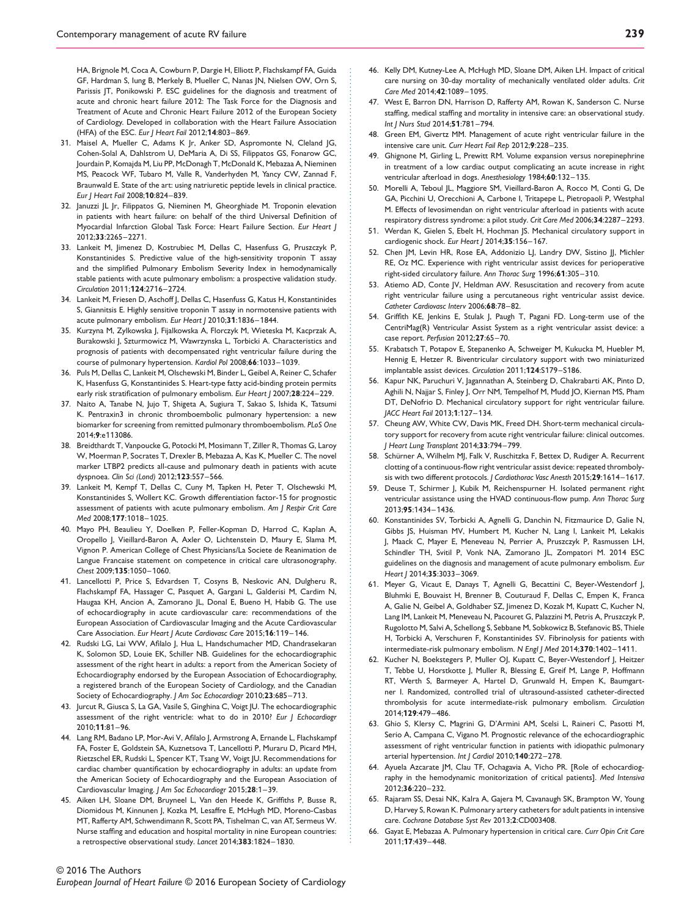HA, Brignole M, Coca A, Cowburn P, Dargie H, Elliott P, Flachskampf FA, Guida GF, Hardman S, Iung B, Merkely B, Mueller C, Nanas JN, Nielsen OW, Orn S, Parissis JT, Ponikowski P. ESC guidelines for the diagnosis and treatment of acute and chronic heart failure 2012: The Task Force for the Diagnosis and Treatment of Acute and Chronic Heart Failure 2012 of the European Society of Cardiology. Developed in collaboration with the Heart Failure Association (HFA) of the ESC. *Eur J Heart Fail* 2012;**14**:803–869.

- 31. Maisel A, Mueller C, Adams K Jr, Anker SD, Aspromonte N, Cleland JG, Cohen-Solal A, Dahlstrom U, DeMaria A, Di SS, Filippatos GS, Fonarow GC, Jourdain P, Komajda M, Liu PP, McDonagh T, McDonald K, Mebazaa A, Nieminen MS, Peacock WF, Tubaro M, Valle R, Vanderhyden M, Yancy CW, Zannad F, Braunwald E. State of the art: using natriuretic peptide levels in clinical practice. *Eur J Heart Fail* 2008;**10**:824–839.
- 32. Januzzi JL Jr, Filippatos G, Nieminen M, Gheorghiade M. Troponin elevation in patients with heart failure: on behalf of the third Universal Definition of Myocardial Infarction Global Task Force: Heart Failure Section. *Eur Heart J* 2012;**33**:2265–2271.
- 33. Lankeit M, Jimenez D, Kostrubiec M, Dellas C, Hasenfuss G, Pruszczyk P, Konstantinides S. Predictive value of the high-sensitivity troponin T assay and the simplified Pulmonary Embolism Severity Index in hemodynamically stable patients with acute pulmonary embolism: a prospective validation study. *Circulation* 2011;**124**:2716–2724.
- 34. Lankeit M, Friesen D, Aschoff J, Dellas C, Hasenfuss G, Katus H, Konstantinides S, Giannitsis E. Highly sensitive troponin T assay in normotensive patients with acute pulmonary embolism. *Eur Heart J* 2010;**31**:1836–1844.
- 35. Kurzyna M, Zylkowska J, Fijalkowska A, Florczyk M, Wieteska M, Kacprzak A, Burakowski J, Szturmowicz M, Wawrzynska L, Torbicki A. Characteristics and prognosis of patients with decompensated right ventricular failure during the course of pulmonary hypertension. *Kardiol Pol* 2008;**66**:1033–1039.
- 36. Puls M, Dellas C, Lankeit M, Olschewski M, Binder L, Geibel A, Reiner C, Schafer K, Hasenfuss G, Konstantinides S. Heart-type fatty acid-binding protein permits early risk stratification of pulmonary embolism. *Eur Heart J* 2007;**28**:224–229.
- 37. Naito A, Tanabe N, Jujo T, Shigeta A, Sugiura T, Sakao S, Ishida K, Tatsumi K. Pentraxin3 in chronic thromboembolic pulmonary hypertension: a new biomarker for screening from remitted pulmonary thromboembolism. *PLoS One* 2014;**9**:e113086.
- 38. Breidthardt T, Vanpoucke G, Potocki M, Mosimann T, Ziller R, Thomas G, Laroy W, Moerman P, Socrates T, Drexler B, Mebazaa A, Kas K, Mueller C. The novel marker LTBP2 predicts all-cause and pulmonary death in patients with acute dyspnoea. *Clin Sci (Lond)* 2012;**123**:557–566.

............................................................................................................................... .........................................................................................

- 39. Lankeit M, Kempf T, Dellas C, Cuny M, Tapken H, Peter T, Olschewski M, Konstantinides S, Wollert KC. Growth differentiation factor-15 for prognostic assessment of patients with acute pulmonary embolism. *Am J Respir Crit Care Med* 2008;**177**:1018–1025.
- 40. Mayo PH, Beaulieu Y, Doelken P, Feller-Kopman D, Harrod C, Kaplan A, Oropello J, Vieillard-Baron A, Axler O, Lichtenstein D, Maury E, Slama M, Vignon P. American College of Chest Physicians/La Societe de Reanimation de Langue Francaise statement on competence in critical care ultrasonography. *Chest* 2009;**135**:1050–1060.
- 41. Lancellotti P, Price S, Edvardsen T, Cosyns B, Neskovic AN, Dulgheru R, Flachskampf FA, Hassager C, Pasquet A, Gargani L, Galderisi M, Cardim N, Haugaa KH, Ancion A, Zamorano JL, Donal E, Bueno H, Habib G. The use of echocardiography in acute cardiovascular care: recommendations of the European Association of Cardiovascular Imaging and the Acute Cardiovascular Care Association. *Eur Heart J Acute Cardiovasc Care* 2015;**16**:119–146.
- 42. Rudski LG, Lai WW, Afilalo J, Hua L, Handschumacher MD, Chandrasekaran K, Solomon SD, Louie EK, Schiller NB. Guidelines for the echocardiographic assessment of the right heart in adults: a report from the American Society of Echocardiography endorsed by the European Association of Echocardiography, a registered branch of the European Society of Cardiology, and the Canadian Society of Echocardiography. *J Am Soc Echocardiogr* 2010;**23**:685–713.
- 43. Jurcut R, Giusca S, La GA, Vasile S, Ginghina C, Voigt JU. The echocardiographic assessment of the right ventricle: what to do in 2010? *Eur J Echocardiogr* 2010;**11**:81–96.
- 44. Lang RM, Badano LP, Mor-Avi V, Afilalo J, Armstrong A, Ernande L, Flachskampf FA, Foster E, Goldstein SA, Kuznetsova T, Lancellotti P, Muraru D, Picard MH, Rietzschel ER, Rudski L, Spencer KT, Tsang W, Voigt JU. Recommendations for cardiac chamber quantification by echocardiography in adults: an update from the American Society of Echocardiography and the European Association of Cardiovascular Imaging. *J Am Soc Echocardiogr* 2015;**28**:1–39.
- 45. Aiken LH, Sloane DM, Bruyneel L, Van den Heede K, Griffiths P, Busse R, Diomidous M, Kinnunen J, Kozka M, Lesaffre E, McHugh MD, Moreno-Casbas MT, Rafferty AM, Schwendimann R, Scott PA, Tishelman C, van AT, Sermeus W. Nurse staffing and education and hospital mortality in nine European countries: a retrospective observational study. *Lancet* 2014;**383**:1824–1830.

#### © 2016 The Authors

- 46. Kelly DM, Kutney-Lee A, McHugh MD, Sloane DM, Aiken LH. Impact of critical care nursing on 30-day mortality of mechanically ventilated older adults. *Crit Care Med* 2014;**42**:1089–1095.
- 47. West E, Barron DN, Harrison D, Rafferty AM, Rowan K, Sanderson C. Nurse staffing, medical staffing and mortality in intensive care: an observational study. *Int J Nurs Stud* 2014;**51**:781–794.
- 48. Green EM, Givertz MM. Management of acute right ventricular failure in the intensive care unit. *Curr Heart Fail Rep* 2012;**9**:228–235.
- 49. Ghignone M, Girling L, Prewitt RM. Volume expansion versus norepinephrine in treatment of a low cardiac output complicating an acute increase in right ventricular afterload in dogs. *Anesthesiology* 1984;**60**:132–135.
- 50. Morelli A, Teboul JL, Maggiore SM, Vieillard-Baron A, Rocco M, Conti G, De GA, Picchini U, Orecchioni A, Carbone I, Tritapepe L, Pietropaoli P, Westphal M. Effects of levosimendan on right ventricular afterload in patients with acute respiratory distress syndrome: a pilot study. *Crit Care Med* 2006;**34**:2287–2293.
- 51. Werdan K, Gielen S, Ebelt H, Hochman JS. Mechanical circulatory support in cardiogenic shock. *Eur Heart J* 2014;**35**:156–167.
- 52. Chen JM, Levin HR, Rose EA, Addonizio LJ, Landry DW, Sistino JJ, Michler RE, Oz MC. Experience with right ventricular assist devices for perioperative right-sided circulatory failure. *Ann Thorac Surg* 1996;**61**:305–310.
- 53. Atiemo AD, Conte JV, Heldman AW. Resuscitation and recovery from acute right ventricular failure using a percutaneous right ventricular assist device. *Catheter Cardiovasc Interv* 2006;**68**:78–82.
- 54. Griffith KE, Jenkins E, Stulak J, Paugh T, Pagani FD. Long-term use of the CentriMag(R) Ventricular Assist System as a right ventricular assist device: a case report. *Perfusion* 2012;**27**:65–70.
- 55. Krabatsch T, Potapov E, Stepanenko A, Schweiger M, Kukucka M, Huebler M, Hennig E, Hetzer R. Biventricular circulatory support with two miniaturized implantable assist devices. *Circulation* 2011;**124**:S179–S186.
- 56. Kapur NK, Paruchuri V, Jagannathan A, Steinberg D, Chakrabarti AK, Pinto D, Aghili N, Najjar S, Finley J, Orr NM, Tempelhof M, Mudd JO, Kiernan MS, Pham DT, DeNofrio D. Mechanical circulatory support for right ventricular failure. *JACC Heart Fail* 2013;**1**:127–134.
- 57. Cheung AW, White CW, Davis MK, Freed DH. Short-term mechanical circulatory support for recovery from acute right ventricular failure: clinical outcomes. *J Heart Lung Transplant* 2014;**33**:794–799.
- 58. Schürner A, Wilhelm MJ, Falk V, Ruschitzka F, Bettex D, Rudiger A. Recurrent clotting of a continuous-flow right ventricular assist device: repeated thrombolysis with two different protocols. *J Cardiothorac Vasc Anesth* 2015;**29**:1614–1617.
- 59. Deuse T, Schirmer J, Kubik M, Reichenspurner H. Isolated permanent right ventricular assistance using the HVAD continuous-flow pump. *Ann Thorac Surg* 2013;**95**:1434–1436.
- 60. Konstantinides SV, Torbicki A, Agnelli G, Danchin N, Fitzmaurice D, Galie N, Gibbs JS, Huisman MV, Humbert M, Kucher N, Lang I, Lankeit M, Lekakis J, Maack C, Mayer E, Meneveau N, Perrier A, Pruszczyk P, Rasmussen LH, Schindler TH, Svitil P, Vonk NA, Zamorano JL, Zompatori M. 2014 ESC guidelines on the diagnosis and management of acute pulmonary embolism. *Eur Heart J* 2014;**35**:3033–3069.
- 61. Meyer G, Vicaut E, Danays T, Agnelli G, Becattini C, Beyer-Westendorf J, Bluhmki E, Bouvaist H, Brenner B, Couturaud F, Dellas C, Empen K, Franca A, Galie N, Geibel A, Goldhaber SZ, Jimenez D, Kozak M, Kupatt C, Kucher N, Lang IM, Lankeit M, Meneveau N, Pacouret G, Palazzini M, Petris A, Pruszczyk P, Rugolotto M, Salvi A, Schellong S, Sebbane M, Sobkowicz B, Stefanovic BS, Thiele H, Torbicki A, Verschuren F, Konstantinides SV. Fibrinolysis for patients with intermediate-risk pulmonary embolism. *N Engl J Med* 2014;**370**:1402–1411.
- 62. Kucher N, Boekstegers P, Muller OJ, Kupatt C, Beyer-Westendorf J, Heitzer T, Tebbe U, Horstkotte J, Muller R, Blessing E, Greif M, Lange P, Hoffmann RT, Werth S, Barmeyer A, Hartel D, Grunwald H, Empen K, Baumgartner I. Randomized, controlled trial of ultrasound-assisted catheter-directed thrombolysis for acute intermediate-risk pulmonary embolism. *Circulation* 2014;**129**:479–486.
- 63. Ghio S, Klersy C, Magrini G, D'Armini AM, Scelsi L, Raineri C, Pasotti M, Serio A, Campana C, Vigano M. Prognostic relevance of the echocardiographic assessment of right ventricular function in patients with idiopathic pulmonary arterial hypertension. *Int J Cardiol* 2010;**140**:272–278.
- 64. Ayuela Azcarate JM, Clau TF, Ochagavia A, Vicho PR. [Role of echocardiography in the hemodynamic monitorization of critical patients]. *Med Intensiva* 2012;**36**:220–232.
- 65. Rajaram SS, Desai NK, Kalra A, Gajera M, Cavanaugh SK, Brampton W, Young D, Harvey S, Rowan K. Pulmonary artery catheters for adult patients in intensive care. *Cochrane Database Syst Rev* 2013;**2**:CD003408.
- 66. Gayat E, Mebazaa A. Pulmonary hypertension in critical care. *Curr Opin Crit Care* 2011;**17**:439–448.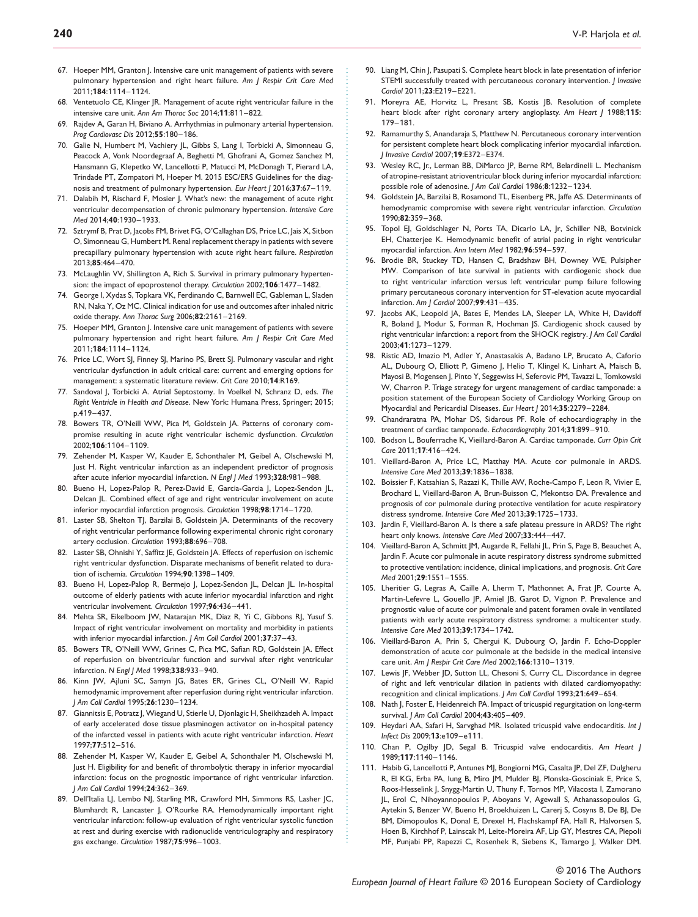- 67. Hoeper MM, Granton J. Intensive care unit management of patients with severe pulmonary hypertension and right heart failure. *Am J Respir Crit Care Med* 2011;**184**:1114–1124.
- 68. Ventetuolo CE, Klinger JR. Management of acute right ventricular failure in the intensive care unit. *Ann Am Thorac Soc* 2014;**11**:811–822.
- 69. Rajdev A, Garan H, Biviano A. Arrhythmias in pulmonary arterial hypertension. *Prog Cardiovasc Dis* 2012;**55**:180–186.
- 70. Galie N, Humbert M, Vachiery JL, Gibbs S, Lang I, Torbicki A, Simonneau G, Peacock A, Vonk Noordegraaf A, Beghetti M, Ghofrani A, Gomez Sanchez M, Hansmann G, Klepetko W, Lancellotti P, Matucci M, McDonagh T, Pierard LA, Trindade PT, Zompatori M, Hoeper M. 2015 ESC/ERS Guidelines for the diagnosis and treatment of pulmonary hypertension. *Eur Heart J* 2016;**37**:67–119.
- 71. Dalabih M, Rischard F, Mosier J. What's new: the management of acute right ventricular decompensation of chronic pulmonary hypertension. *Intensive Care Med* 2014;**40**:1930–1933.
- 72. Sztrymf B, Prat D, Jacobs FM, Brivet FG, O'Callaghan DS, Price LC, Jais X, Sitbon O, Simonneau G, Humbert M. Renal replacement therapy in patients with severe precapillary pulmonary hypertension with acute right heart failure. *Respiration* 2013;**85**:464–470.
- 73. McLaughlin VV, Shillington A, Rich S. Survival in primary pulmonary hypertension: the impact of epoprostenol therapy. *Circulation* 2002;**106**:1477–1482.
- 74. George I, Xydas S, Topkara VK, Ferdinando C, Barnwell EC, Gableman L, Sladen RN, Naka Y, Oz MC. Clinical indication for use and outcomes after inhaled nitric oxide therapy. *Ann Thorac Surg* 2006;**82**:2161–2169.
- 75. Hoeper MM, Granton J. Intensive care unit management of patients with severe pulmonary hypertension and right heart failure. *Am J Respir Crit Care Med* 2011;**184**:1114–1124.
- 76. Price LC, Wort SJ, Finney SJ, Marino PS, Brett SJ. Pulmonary vascular and right ventricular dysfunction in adult critical care: current and emerging options for management: a systematic literature review. *Crit Care* 2010;**14**:R169.
- 77. Sandoval J, Torbicki A. Atrial Septostomy. In Voelkel N, Schranz D, eds. *The Right Ventricle in Health and Disease*. New York: Humana Press, Springer; 2015; p.419–437.
- 78. Bowers TR, O'Neill WW, Pica M, Goldstein JA. Patterns of coronary compromise resulting in acute right ventricular ischemic dysfunction. *Circulation* 2002;**106**:1104–1109.
- 79. Zehender M, Kasper W, Kauder E, Schonthaler M, Geibel A, Olschewski M, Just H. Right ventricular infarction as an independent predictor of prognosis after acute inferior myocardial infarction. *N Engl J Med* 1993;**328**:981–988.

............................................................................................................................... .........................................................................................

- 80. Bueno H, Lopez-Palop R, Perez-David E, Garcia-Garcia J, Lopez-Sendon JL, Delcan JL. Combined effect of age and right ventricular involvement on acute inferior myocardial infarction prognosis. *Circulation* 1998;**98**:1714–1720.
- 81. Laster SB, Shelton TI, Barzilai B, Goldstein JA, Determinants of the recovery of right ventricular performance following experimental chronic right coronary artery occlusion. *Circulation* 1993;**88**:696–708.
- 82. Laster SB, Ohnishi Y, Saffitz JE, Goldstein JA. Effects of reperfusion on ischemic right ventricular dysfunction. Disparate mechanisms of benefit related to duration of ischemia. *Circulation* 1994;**90**:1398–1409.
- 83. Bueno H, Lopez-Palop R, Bermejo J, Lopez-Sendon JL, Delcan JL. In-hospital outcome of elderly patients with acute inferior myocardial infarction and right ventricular involvement. *Circulation* 1997;**96**:436–441.
- 84. Mehta SR, Eikelboom JW, Natarajan MK, Diaz R, Yi C, Gibbons RJ, Yusuf S. Impact of right ventricular involvement on mortality and morbidity in patients with inferior myocardial infarction. *J Am Coll Cardiol* 2001;**37**:37–43.
- 85. Bowers TR, O'Neill WW, Grines C, Pica MC, Safian RD, Goldstein JA. Effect of reperfusion on biventricular function and survival after right ventricular infarction. *N Engl J Med* 1998;**338**:933–940.
- 86. Kinn JW, Ajluni SC, Samyn JG, Bates ER, Grines CL, O'Neill W. Rapid hemodynamic improvement after reperfusion during right ventricular infarction. *J Am Coll Cardiol* 1995;**26**:1230–1234.
- 87. Giannitsis E, Potratz J, Wiegand U, Stierle U, Djonlagic H, Sheikhzadeh A. Impact of early accelerated dose tissue plasminogen activator on in-hospital patency of the infarcted vessel in patients with acute right ventricular infarction. *Heart* 1997;**77**:512–516.
- 88. Zehender M, Kasper W, Kauder E, Geibel A, Schonthaler M, Olschewski M, Just H. Eligibility for and benefit of thrombolytic therapy in inferior myocardial infarction: focus on the prognostic importance of right ventricular infarction. *J Am Coll Cardiol* 1994;**24**:362–369.
- 89. Dell'Italia LJ, Lembo NJ, Starling MR, Crawford MH, Simmons RS, Lasher JC, Blumhardt R, Lancaster J, O'Rourke RA. Hemodynamically important right ventricular infarction: follow-up evaluation of right ventricular systolic function at rest and during exercise with radionuclide ventriculography and respiratory gas exchange. *Circulation* 1987;**75**:996–1003.
- 90. Liang M, Chin J, Pasupati S. Complete heart block in late presentation of inferior STEMI successfully treated with percutaneous coronary intervention. *J Invasive Cardiol* 2011;**23**:E219–E221.
- 91. Moreyra AE, Horvitz L, Presant SB, Kostis JB. Resolution of complete heart block after right coronary artery angioplasty. *Am Heart J* 1988;**115**: 179–181.
- 92. Ramamurthy S, Anandaraja S, Matthew N. Percutaneous coronary intervention for persistent complete heart block complicating inferior myocardial infarction. *J Invasive Cardiol* 2007;**19**:E372–E374.
- 93. Wesley RC, Jr., Lerman BB, DiMarco JP, Berne RM, Belardinelli L. Mechanism of atropine-resistant atrioventricular block during inferior myocardial infarction: possible role of adenosine. *J Am Coll Cardiol* 1986;**8**:1232–1234.
- 94. Goldstein JA, Barzilai B, Rosamond TL, Eisenberg PR, Jaffe AS. Determinants of hemodynamic compromise with severe right ventricular infarction. *Circulation* 1990;**82**:359–368.
- 95. Topol EJ, Goldschlager N, Ports TA, Dicarlo LA, Jr, Schiller NB, Botvinick EH, Chatterjee K. Hemodynamic benefit of atrial pacing in right ventricular myocardial infarction. *Ann Intern Med* 1982;**96**:594–597.
- 96. Brodie BR, Stuckey TD, Hansen C, Bradshaw BH, Downey WE, Pulsipher MW. Comparison of late survival in patients with cardiogenic shock due to right ventricular infarction versus left ventricular pump failure following primary percutaneous coronary intervention for ST-elevation acute myocardial infarction. *Am J Cardiol* 2007;**99**:431–435.
- 97. Jacobs AK, Leopold JA, Bates E, Mendes LA, Sleeper LA, White H, Davidoff R, Boland J, Modur S, Forman R, Hochman JS. Cardiogenic shock caused by right ventricular infarction: a report from the SHOCK registry. *J Am Coll Cardiol* 2003;**41**:1273–1279.
- 98. Ristic AD, Imazio M, Adler Y, Anastasakis A, Badano LP, Brucato A, Caforio AL, Dubourg O, Elliott P, Gimeno J, Helio T, Klingel K, Linhart A, Maisch B, Mayosi B, Mogensen J, Pinto Y, Seggewiss H, Seferovic PM, Tavazzi L, Tomkowski W, Charron P. Triage strategy for urgent management of cardiac tamponade: a position statement of the European Society of Cardiology Working Group on Myocardial and Pericardial Diseases. *Eur Heart J* 2014;**35**:2279–2284.
- 99. Chandraratna PA, Mohar DS, Sidarous PF. Role of echocardiography in the treatment of cardiac tamponade. *Echocardiography* 2014;**31**:899–910.
- 100. Bodson L, Bouferrache K, Vieillard-Baron A. Cardiac tamponade. *Curr Opin Crit Care* 2011;**17**:416–424.
- 101. Vieillard-Baron A, Price LC, Matthay MA. Acute cor pulmonale in ARDS. *Intensive Care Med* 2013;**39**:1836–1838.
- 102. Boissier F, Katsahian S, Razazi K, Thille AW, Roche-Campo F, Leon R, Vivier E, Brochard L, Vieillard-Baron A, Brun-Buisson C, Mekontso DA. Prevalence and prognosis of cor pulmonale during protective ventilation for acute respiratory distress syndrome. *Intensive Care Med* 2013;**39**:1725–1733.
- 103. Jardin F, Vieillard-Baron A. Is there a safe plateau pressure in ARDS? The right heart only knows. *Intensive Care Med* 2007;**33**:444–447.
- 104. Vieillard-Baron A, Schmitt JM, Augarde R, Fellahi JL, Prin S, Page B, Beauchet A, Jardin F. Acute cor pulmonale in acute respiratory distress syndrome submitted to protective ventilation: incidence, clinical implications, and prognosis. *Crit Care Med* 2001;**29**:1551–1555.
- 105. Lheritier G, Legras A, Caille A, Lherm T, Mathonnet A, Frat JP, Courte A, Martin-Lefevre L, Gouello JP, Amiel JB, Garot D, Vignon P. Prevalence and prognostic value of acute cor pulmonale and patent foramen ovale in ventilated patients with early acute respiratory distress syndrome: a multicenter study. *Intensive Care Med* 2013;**39**:1734–1742.
- 106. Vieillard-Baron A, Prin S, Chergui K, Dubourg O, Jardin F. Echo-Doppler demonstration of acute cor pulmonale at the bedside in the medical intensive care unit. *Am J Respir Crit Care Med* 2002;**166**:1310–1319.
- 107. Lewis JF, Webber JD, Sutton LL, Chesoni S, Curry CL. Discordance in degree of right and left ventricular dilation in patients with dilated cardiomyopathy: recognition and clinical implications. *J Am Coll Cardiol* 1993;**21**:649–654.
- 108. Nath J, Foster E, Heidenreich PA. Impact of tricuspid regurgitation on long-term survival. *J Am Coll Cardiol* 2004;**43**:405–409.
- 109. Heydari AA, Safari H, Sarvghad MR. Isolated tricuspid valve endocarditis. *Int J Infect Dis* 2009;**13**:e109–e111.
- 110. Chan P, Ogilby JD, Segal B. Tricuspid valve endocarditis. *Am Heart J* 1989;**117**:1140–1146.
- 111. Habib G, Lancellotti P, Antunes MJ, Bongiorni MG, Casalta JP, Del ZF, Dulgheru R, El KG, Erba PA, Iung B, Miro JM, Mulder BJ, Plonska-Gosciniak E, Price S, Roos-Hesselink J, Snygg-Martin U, Thuny F, Tornos MP, Vilacosta I, Zamorano JL, Erol C, Nihoyannopoulos P, Aboyans V, Agewall S, Athanassopoulos G, Aytekin S, Benzer W, Bueno H, Broekhuizen L, Carerj S, Cosyns B, De BJ, De BM, Dimopoulos K, Donal E, Drexel H, Flachskampf FA, Hall R, Halvorsen S, Hoen B, Kirchhof P, Lainscak M, Leite-Moreira AF, Lip GY, Mestres CA, Piepoli MF, Punjabi PP, Rapezzi C, Rosenhek R, Siebens K, Tamargo J, Walker DM.